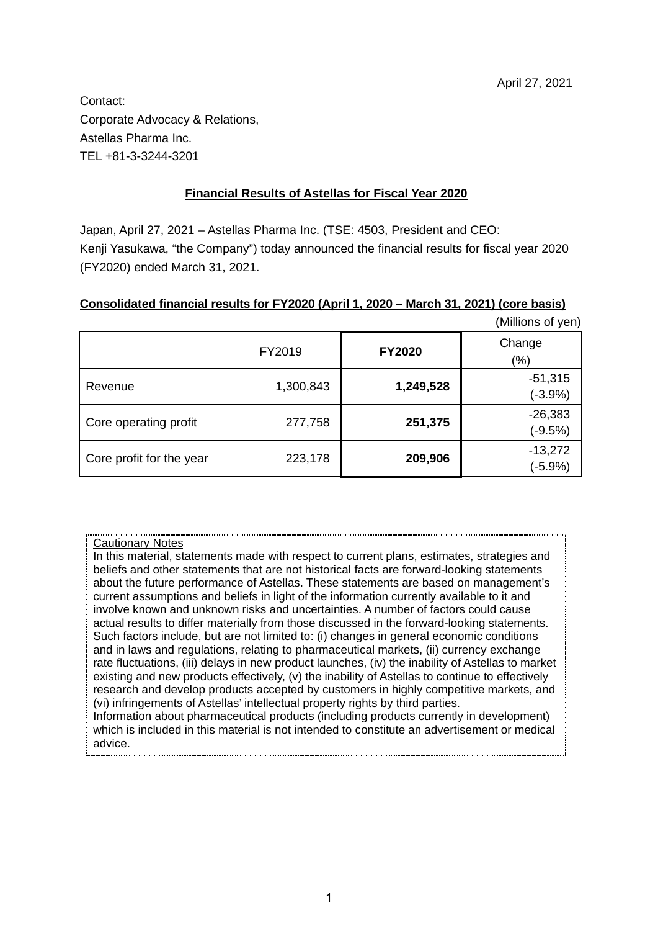Contact: Corporate Advocacy & Relations, Astellas Pharma Inc. TEL +81-3-3244-3201

## **Financial Results of Astellas for Fiscal Year 2020**

Japan, April 27, 2021 – Astellas Pharma Inc. (TSE: 4503, President and CEO: Kenji Yasukawa, "the Company") today announced the financial results for fiscal year 2020 (FY2020) ended March 31, 2021.

#### **Consolidated financial results for FY2020 (April 1, 2020 – March 31, 2021) (core basis)**

|                          |           |               | (Millions of yen) |
|--------------------------|-----------|---------------|-------------------|
|                          | FY2019    | <b>FY2020</b> | Change<br>$(\%)$  |
|                          |           |               |                   |
| Revenue                  | 1,300,843 | 1,249,528     | $-51,315$         |
|                          |           |               | $(-3.9%)$         |
|                          | 277,758   |               | $-26,383$         |
| Core operating profit    |           | 251,375       | $(-9.5%)$         |
|                          |           |               | $-13,272$         |
| Core profit for the year | 223,178   | 209,906       | $(-5.9%)$         |

#### Cautionary Notes

In this material, statements made with respect to current plans, estimates, strategies and beliefs and other statements that are not historical facts are forward-looking statements about the future performance of Astellas. These statements are based on management's current assumptions and beliefs in light of the information currently available to it and involve known and unknown risks and uncertainties. A number of factors could cause actual results to differ materially from those discussed in the forward-looking statements. Such factors include, but are not limited to: (i) changes in general economic conditions and in laws and regulations, relating to pharmaceutical markets, (ii) currency exchange rate fluctuations, (iii) delays in new product launches, (iv) the inability of Astellas to market existing and new products effectively, (v) the inability of Astellas to continue to effectively research and develop products accepted by customers in highly competitive markets, and (vi) infringements of Astellas' intellectual property rights by third parties. Information about pharmaceutical products (including products currently in development) which is included in this material is not intended to constitute an advertisement or medical advice.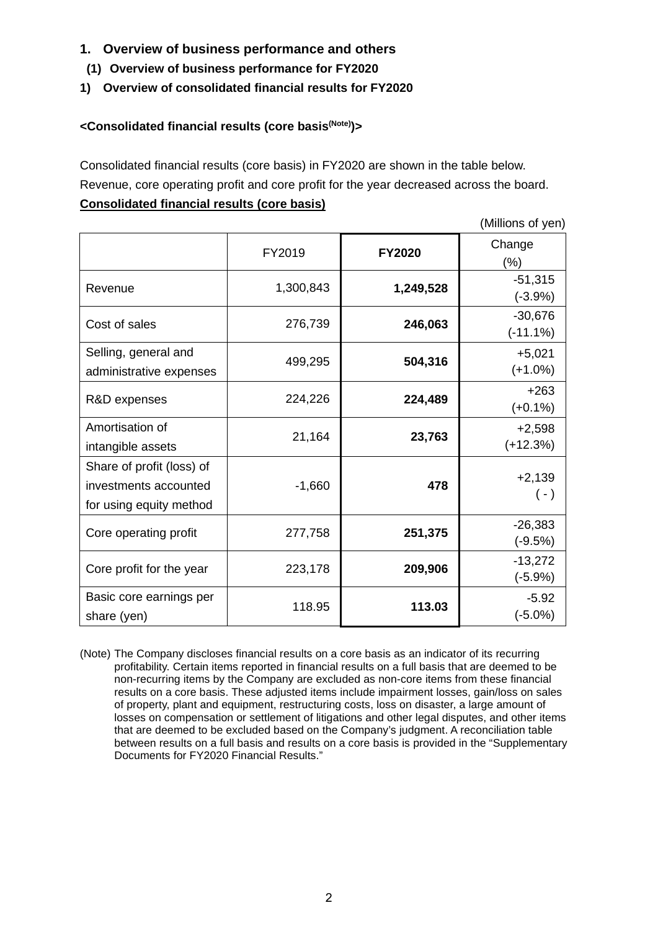- **1. Overview of business performance and others**
- **(1) Overview of business performance for FY2020**
- **1) Overview of consolidated financial results for FY2020**

## **<Consolidated financial results (core basis(Note))>**

Consolidated financial results (core basis) in FY2020 are shown in the table below. Revenue, core operating profit and core profit for the year decreased across the board. **Consolidated financial results (core basis)**

(Millions of yen)

|                                                                               | FY2019    | <b>FY2020</b> | Change<br>(%)           |
|-------------------------------------------------------------------------------|-----------|---------------|-------------------------|
| Revenue                                                                       | 1,300,843 | 1,249,528     | $-51,315$<br>$(-3.9%)$  |
| Cost of sales                                                                 | 276,739   | 246,063       | $-30,676$<br>$(-11.1%)$ |
| Selling, general and<br>administrative expenses                               | 499,295   | 504,316       | $+5,021$<br>$(+1.0%)$   |
| R&D expenses                                                                  | 224,226   | 224,489       | $+263$<br>$(+0.1\%)$    |
| Amortisation of<br>intangible assets                                          | 21,164    | 23,763        | $+2,598$<br>$(+12.3%)$  |
| Share of profit (loss) of<br>investments accounted<br>for using equity method | $-1,660$  | 478           | $+2,139$<br>$(\cdot)$   |
| Core operating profit                                                         | 277,758   | 251,375       | $-26,383$<br>$(-9.5%)$  |
| Core profit for the year                                                      | 223,178   | 209,906       | $-13,272$<br>$(-5.9%)$  |
| Basic core earnings per<br>share (yen)                                        | 118.95    | 113.03        | $-5.92$<br>$(-5.0\%)$   |

(Note) The Company discloses financial results on a core basis as an indicator of its recurring profitability. Certain items reported in financial results on a full basis that are deemed to be non-recurring items by the Company are excluded as non-core items from these financial results on a core basis. These adjusted items include impairment losses, gain/loss on sales of property, plant and equipment, restructuring costs, loss on disaster, a large amount of losses on compensation or settlement of litigations and other legal disputes, and other items that are deemed to be excluded based on the Company's judgment. A reconciliation table between results on a full basis and results on a core basis is provided in the "Supplementary Documents for FY2020 Financial Results."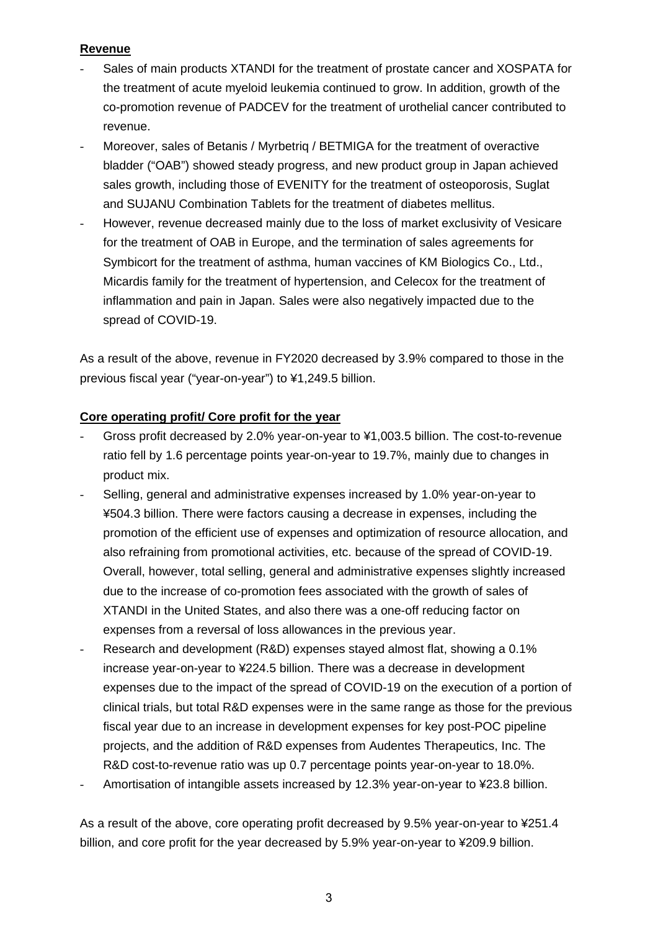## **Revenue**

- Sales of main products XTANDI for the treatment of prostate cancer and XOSPATA for the treatment of acute myeloid leukemia continued to grow. In addition, growth of the co-promotion revenue of PADCEV for the treatment of urothelial cancer contributed to revenue.
- Moreover, sales of Betanis / Myrbetrig / BETMIGA for the treatment of overactive bladder ("OAB") showed steady progress, and new product group in Japan achieved sales growth, including those of EVENITY for the treatment of osteoporosis, Suglat and SUJANU Combination Tablets for the treatment of diabetes mellitus.
- However, revenue decreased mainly due to the loss of market exclusivity of Vesicare for the treatment of OAB in Europe, and the termination of sales agreements for Symbicort for the treatment of asthma, human vaccines of KM Biologics Co., Ltd., Micardis family for the treatment of hypertension, and Celecox for the treatment of inflammation and pain in Japan. Sales were also negatively impacted due to the spread of COVID-19.

As a result of the above, revenue in FY2020 decreased by 3.9% compared to those in the previous fiscal year ("year-on-year") to ¥1,249.5 billion.

## **Core operating profit/ Core profit for the year**

- Gross profit decreased by 2.0% year-on-year to ¥1,003.5 billion. The cost-to-revenue ratio fell by 1.6 percentage points year-on-year to 19.7%, mainly due to changes in product mix.
- Selling, general and administrative expenses increased by 1.0% year-on-year to ¥504.3 billion. There were factors causing a decrease in expenses, including the promotion of the efficient use of expenses and optimization of resource allocation, and also refraining from promotional activities, etc. because of the spread of COVID-19. Overall, however, total selling, general and administrative expenses slightly increased due to the increase of co-promotion fees associated with the growth of sales of XTANDI in the United States, and also there was a one-off reducing factor on expenses from a reversal of loss allowances in the previous year.
- Research and development (R&D) expenses stayed almost flat, showing a 0.1% increase year-on-year to ¥224.5 billion. There was a decrease in development expenses due to the impact of the spread of COVID-19 on the execution of a portion of clinical trials, but total R&D expenses were in the same range as those for the previous fiscal year due to an increase in development expenses for key post-POC pipeline projects, and the addition of R&D expenses from Audentes Therapeutics, Inc. The R&D cost-to-revenue ratio was up 0.7 percentage points year-on-year to 18.0%.
- Amortisation of intangible assets increased by 12.3% year-on-year to ¥23.8 billion.

As a result of the above, core operating profit decreased by 9.5% year-on-year to ¥251.4 billion, and core profit for the year decreased by 5.9% year-on-year to ¥209.9 billion.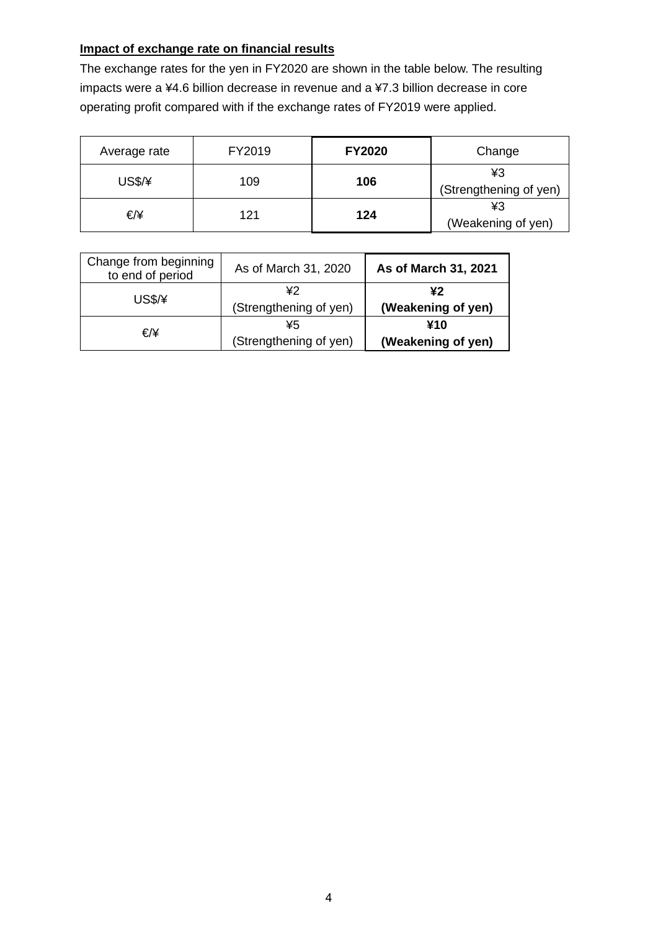# **Impact of exchange rate on financial results**

The exchange rates for the yen in FY2020 are shown in the table below. The resulting impacts were a ¥4.6 billion decrease in revenue and a ¥7.3 billion decrease in core operating profit compared with if the exchange rates of FY2019 were applied.

| Average rate | FY2019 | <b>FY2020</b> | Change                       |
|--------------|--------|---------------|------------------------------|
| US\$/¥       | 109    | 106           | ¥З<br>(Strengthening of yen) |
| €/¥          | 121    | 124           | ¥3<br>(Weakening of yen)     |

| Change from beginning<br>to end of period | As of March 31, 2020         | As of March 31, 2021      |
|-------------------------------------------|------------------------------|---------------------------|
| <b>US\$/¥</b>                             | ¥2<br>(Strengthening of yen) | ¥2<br>(Weakening of yen)  |
| €/¥                                       | ¥5<br>(Strengthening of yen) | ¥10<br>(Weakening of yen) |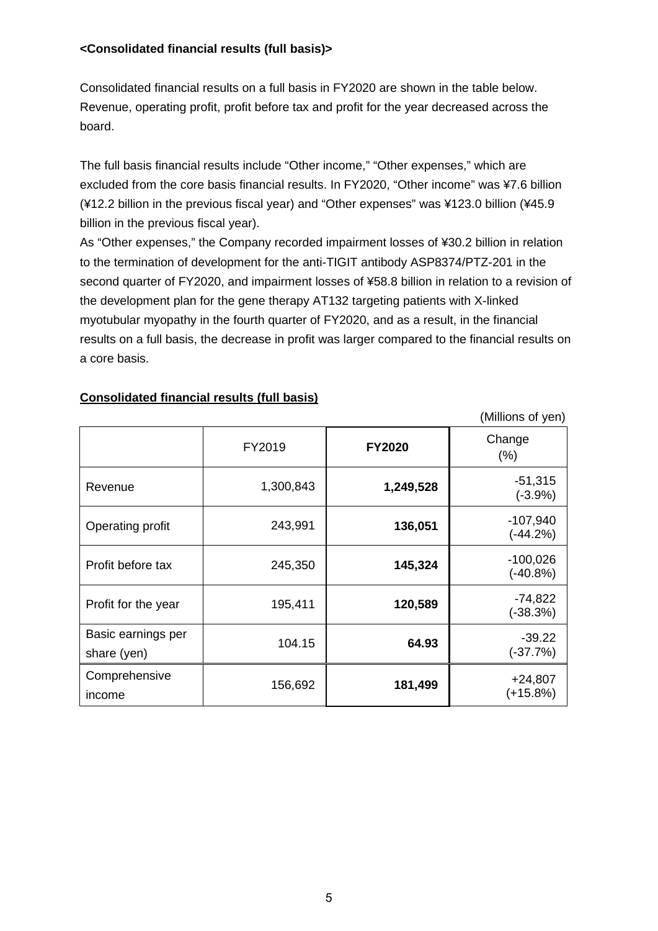## **<Consolidated financial results (full basis)>**

Consolidated financial results on a full basis in FY2020 are shown in the table below. Revenue, operating profit, profit before tax and profit for the year decreased across the board.

The full basis financial results include "Other income," "Other expenses," which are excluded from the core basis financial results. In FY2020, "Other income" was ¥7.6 billion (¥12.2 billion in the previous fiscal year) and "Other expenses" was ¥123.0 billion (¥45.9 billion in the previous fiscal year).

As "Other expenses," the Company recorded impairment losses of ¥30.2 billion in relation to the termination of development for the anti-TIGIT antibody ASP8374/PTZ-201 in the second quarter of FY2020, and impairment losses of ¥58.8 billion in relation to a revision of the development plan for the gene therapy AT132 targeting patients with X-linked myotubular myopathy in the fourth quarter of FY2020, and as a result, in the financial results on a full basis, the decrease in profit was larger compared to the financial results on a core basis.

(Millions of yen)

|                                   | FY2019    | <b>FY2020</b> | Change<br>(% )           |
|-----------------------------------|-----------|---------------|--------------------------|
| Revenue                           | 1,300,843 | 1,249,528     | $-51,315$<br>$(-3.9%)$   |
| Operating profit                  | 243,991   | 136,051       | $-107,940$<br>$(-44.2%)$ |
| Profit before tax                 | 245,350   | 145,324       | $-100,026$<br>$(-40.8%)$ |
| Profit for the year               | 195,411   | 120,589       | $-74,822$<br>$(-38.3%)$  |
| Basic earnings per<br>share (yen) | 104.15    | 64.93         | $-39.22$<br>$(-37.7%)$   |
| Comprehensive<br>income           | 156,692   | 181,499       | $+24,807$<br>$(+15.8%)$  |

## **Consolidated financial results (full basis)**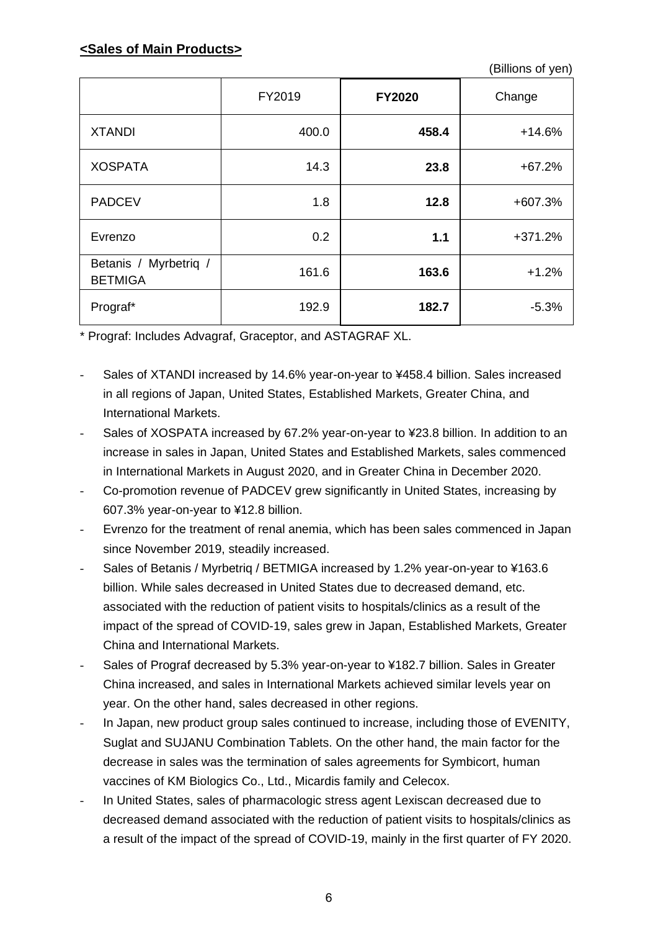(Billions of yen)

|                                         | FY2019 | <b>FY2020</b> | Change    |
|-----------------------------------------|--------|---------------|-----------|
| <b>XTANDI</b>                           | 400.0  | 458.4         | $+14.6%$  |
| <b>XOSPATA</b>                          | 14.3   | 23.8          | $+67.2%$  |
| <b>PADCEV</b>                           | 1.8    | 12.8          | +607.3%   |
| Evrenzo                                 | 0.2    | 1.1           | $+371.2%$ |
| Betanis / Myrbetriq /<br><b>BETMIGA</b> | 161.6  | 163.6         | $+1.2%$   |
| Prograf*                                | 192.9  | 182.7         | $-5.3%$   |

\* Prograf: Includes Advagraf, Graceptor, and ASTAGRAF XL.

- Sales of XTANDI increased by 14.6% year-on-year to ¥458.4 billion. Sales increased in all regions of Japan, United States, Established Markets, Greater China, and International Markets.
- Sales of XOSPATA increased by 67.2% year-on-year to ¥23.8 billion. In addition to an increase in sales in Japan, United States and Established Markets, sales commenced in International Markets in August 2020, and in Greater China in December 2020.
- Co-promotion revenue of PADCEV grew significantly in United States, increasing by 607.3% year-on-year to ¥12.8 billion.
- Evrenzo for the treatment of renal anemia, which has been sales commenced in Japan since November 2019, steadily increased.
- Sales of Betanis / Myrbetriq / BETMIGA increased by 1.2% year-on-year to ¥163.6 billion. While sales decreased in United States due to decreased demand, etc. associated with the reduction of patient visits to hospitals/clinics as a result of the impact of the spread of COVID-19, sales grew in Japan, Established Markets, Greater China and International Markets.
- Sales of Prograf decreased by 5.3% year-on-year to ¥182.7 billion. Sales in Greater China increased, and sales in International Markets achieved similar levels year on year. On the other hand, sales decreased in other regions.
- In Japan, new product group sales continued to increase, including those of EVENITY, Suglat and SUJANU Combination Tablets. On the other hand, the main factor for the decrease in sales was the termination of sales agreements for Symbicort, human vaccines of KM Biologics Co., Ltd., Micardis family and Celecox.
- In United States, sales of pharmacologic stress agent Lexiscan decreased due to decreased demand associated with the reduction of patient visits to hospitals/clinics as a result of the impact of the spread of COVID-19, mainly in the first quarter of FY 2020.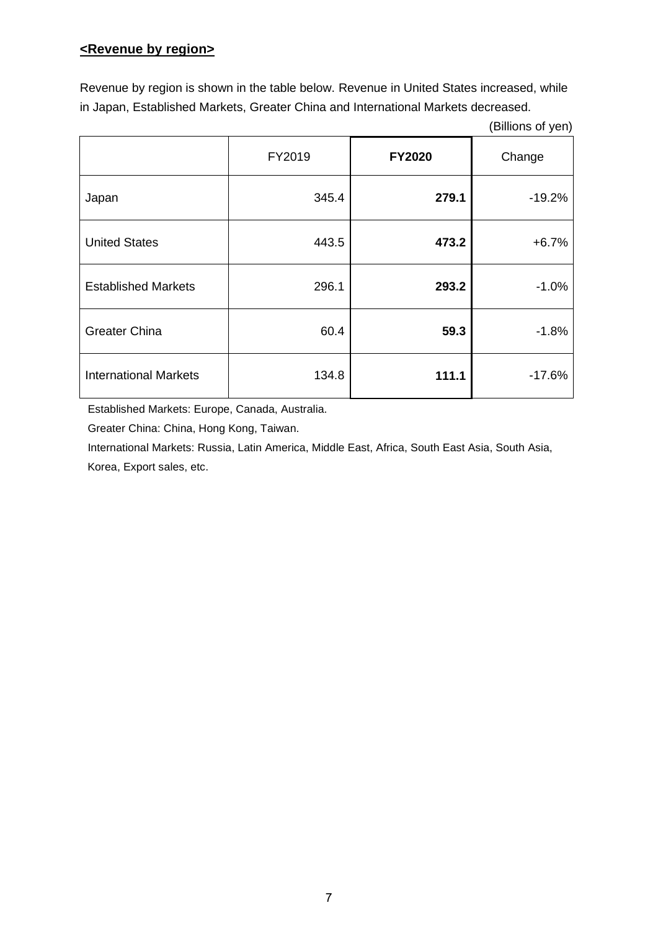## **<Revenue by region>**

Revenue by region is shown in the table below. Revenue in United States increased, while in Japan, Established Markets, Greater China and International Markets decreased.

(Billions of yen)

|                              | FY2019 | <b>FY2020</b> | Change   |
|------------------------------|--------|---------------|----------|
| Japan                        | 345.4  | 279.1         | $-19.2%$ |
| <b>United States</b>         | 443.5  | 473.2         | $+6.7%$  |
| <b>Established Markets</b>   | 296.1  | 293.2         | $-1.0%$  |
| <b>Greater China</b>         | 60.4   | 59.3          | $-1.8%$  |
| <b>International Markets</b> | 134.8  | 111.1         | $-17.6%$ |

Established Markets: Europe, Canada, Australia.

Greater China: China, Hong Kong, Taiwan.

International Markets: Russia, Latin America, Middle East, Africa, South East Asia, South Asia, Korea, Export sales, etc.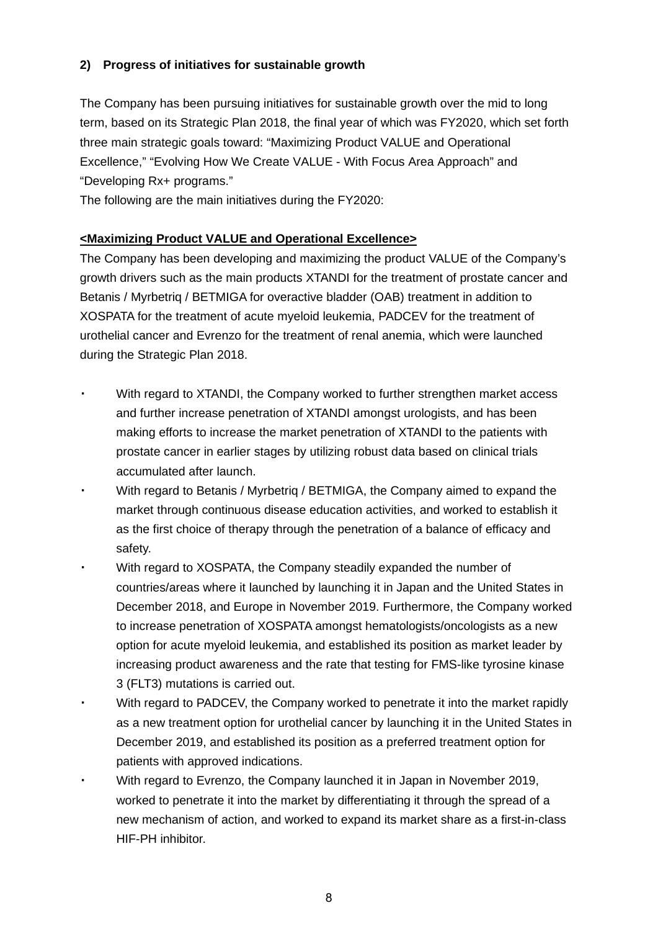## **2) Progress of initiatives for sustainable growth**

The Company has been pursuing initiatives for sustainable growth over the mid to long term, based on its Strategic Plan 2018, the final year of which was FY2020, which set forth three main strategic goals toward: "Maximizing Product VALUE and Operational Excellence," "Evolving How We Create VALUE - With Focus Area Approach" and "Developing Rx+ programs."

The following are the main initiatives during the FY2020:

## **<Maximizing Product VALUE and Operational Excellence>**

The Company has been developing and maximizing the product VALUE of the Company's growth drivers such as the main products XTANDI for the treatment of prostate cancer and Betanis / Myrbetriq / BETMIGA for overactive bladder (OAB) treatment in addition to XOSPATA for the treatment of acute myeloid leukemia, PADCEV for the treatment of urothelial cancer and Evrenzo for the treatment of renal anemia, which were launched during the Strategic Plan 2018.

- ・ With regard to XTANDI, the Company worked to further strengthen market access and further increase penetration of XTANDI amongst urologists, and has been making efforts to increase the market penetration of XTANDI to the patients with prostate cancer in earlier stages by utilizing robust data based on clinical trials accumulated after launch.
- With regard to Betanis / Myrbetrig / BETMIGA, the Company aimed to expand the market through continuous disease education activities, and worked to establish it as the first choice of therapy through the penetration of a balance of efficacy and safety.
- With regard to XOSPATA, the Company steadily expanded the number of countries/areas where it launched by launching it in Japan and the United States in December 2018, and Europe in November 2019. Furthermore, the Company worked to increase penetration of XOSPATA amongst hematologists/oncologists as a new option for acute myeloid leukemia, and established its position as market leader by increasing product awareness and the rate that testing for FMS-like tyrosine kinase 3 (FLT3) mutations is carried out.
- With regard to PADCEV, the Company worked to penetrate it into the market rapidly as a new treatment option for urothelial cancer by launching it in the United States in December 2019, and established its position as a preferred treatment option for patients with approved indications.
- With regard to Evrenzo, the Company launched it in Japan in November 2019, worked to penetrate it into the market by differentiating it through the spread of a new mechanism of action, and worked to expand its market share as a first-in-class HIF-PH inhibitor.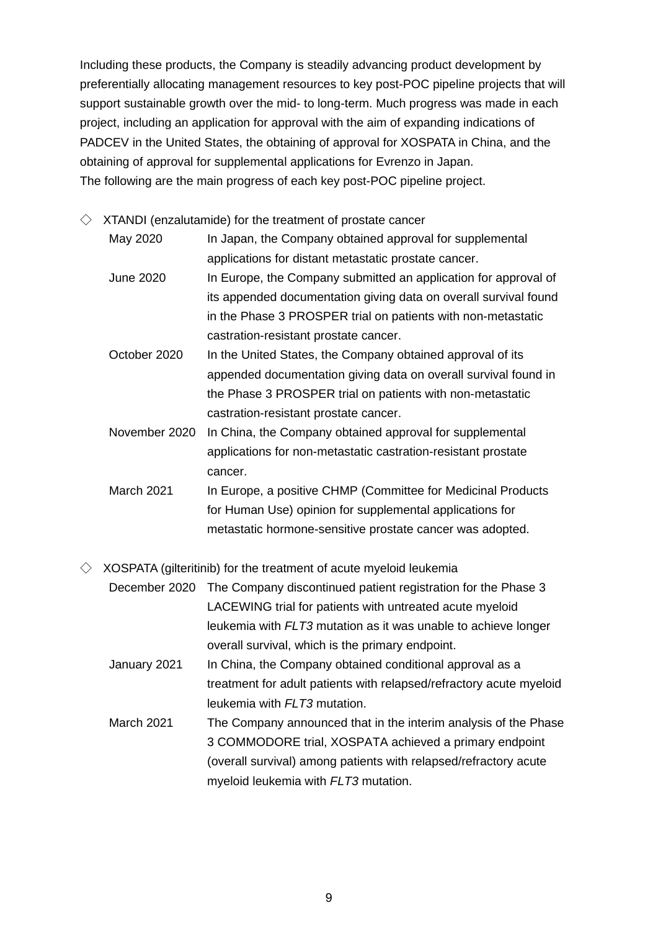Including these products, the Company is steadily advancing product development by preferentially allocating management resources to key post-POC pipeline projects that will support sustainable growth over the mid- to long-term. Much progress was made in each project, including an application for approval with the aim of expanding indications of PADCEV in the United States, the obtaining of approval for XOSPATA in China, and the obtaining of approval for supplemental applications for Evrenzo in Japan. The following are the main progress of each key post-POC pipeline project.

 $\Diamond$  XTANDI (enzalutamide) for the treatment of prostate cancer

- May 2020 In Japan, the Company obtained approval for supplemental applications for distant metastatic prostate cancer.
- June 2020 In Europe, the Company submitted an application for approval of its appended documentation giving data on overall survival found in the Phase 3 PROSPER trial on patients with non-metastatic castration-resistant prostate cancer.
- October 2020 In the United States, the Company obtained approval of its appended documentation giving data on overall survival found in the Phase 3 PROSPER trial on patients with non-metastatic castration-resistant prostate cancer.
- November 2020 In China, the Company obtained approval for supplemental applications for non-metastatic castration-resistant prostate cancer.
- March 2021 In Europe, a positive CHMP (Committee for Medicinal Products for Human Use) opinion for supplemental applications for metastatic hormone-sensitive prostate cancer was adopted.

 $\Diamond$  XOSPATA (gilteritinib) for the treatment of acute myeloid leukemia

- December 2020 The Company discontinued patient registration for the Phase 3 LACEWING trial for patients with untreated acute myeloid leukemia with *FLT3* mutation as it was unable to achieve longer overall survival, which is the primary endpoint.
- January 2021 In China, the Company obtained conditional approval as a treatment for adult patients with relapsed/refractory acute myeloid leukemia with *FLT3* mutation.
- March 2021 The Company announced that in the interim analysis of the Phase 3 COMMODORE trial, XOSPATA achieved a primary endpoint (overall survival) among patients with relapsed/refractory acute myeloid leukemia with *FLT3* mutation.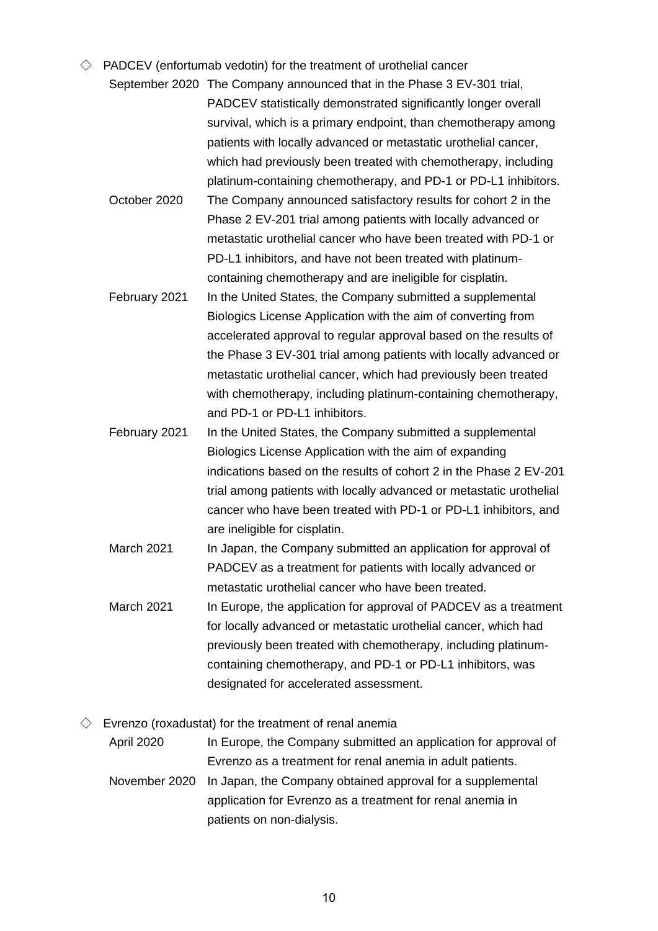- $\Diamond$  PADCEV (enfortumab vedotin) for the treatment of urothelial cancer
	- September 2020 The Company announced that in the Phase 3 EV-301 trial, PADCEV statistically demonstrated significantly longer overall survival, which is a primary endpoint, than chemotherapy among patients with locally advanced or metastatic urothelial cancer, which had previously been treated with chemotherapy, including platinum-containing chemotherapy, and PD-1 or PD-L1 inhibitors.
	- October 2020 The Company announced satisfactory results for cohort 2 in the Phase 2 EV-201 trial among patients with locally advanced or metastatic urothelial cancer who have been treated with PD-1 or PD-L1 inhibitors, and have not been treated with platinumcontaining chemotherapy and are ineligible for cisplatin.
	- February 2021 In the United States, the Company submitted a supplemental Biologics License Application with the aim of converting from accelerated approval to regular approval based on the results of the Phase 3 EV-301 trial among patients with locally advanced or metastatic urothelial cancer, which had previously been treated with chemotherapy, including platinum-containing chemotherapy, and PD-1 or PD-L1 inhibitors.
	- February 2021 In the United States, the Company submitted a supplemental Biologics License Application with the aim of expanding indications based on the results of cohort 2 in the Phase 2 EV-201 trial among patients with locally advanced or metastatic urothelial cancer who have been treated with PD-1 or PD-L1 inhibitors, and are ineligible for cisplatin.
	- March 2021 In Japan, the Company submitted an application for approval of PADCEV as a treatment for patients with locally advanced or metastatic urothelial cancer who have been treated.
	- March 2021 In Europe, the application for approval of PADCEV as a treatment for locally advanced or metastatic urothelial cancer, which had previously been treated with chemotherapy, including platinumcontaining chemotherapy, and PD-1 or PD-L1 inhibitors, was designated for accelerated assessment.

 $\Diamond$  Evrenzo (roxadustat) for the treatment of renal anemia

April 2020 In Europe, the Company submitted an application for approval of Evrenzo as a treatment for renal anemia in adult patients.

November 2020 In Japan, the Company obtained approval for a supplemental application for Evrenzo as a treatment for renal anemia in patients on non-dialysis.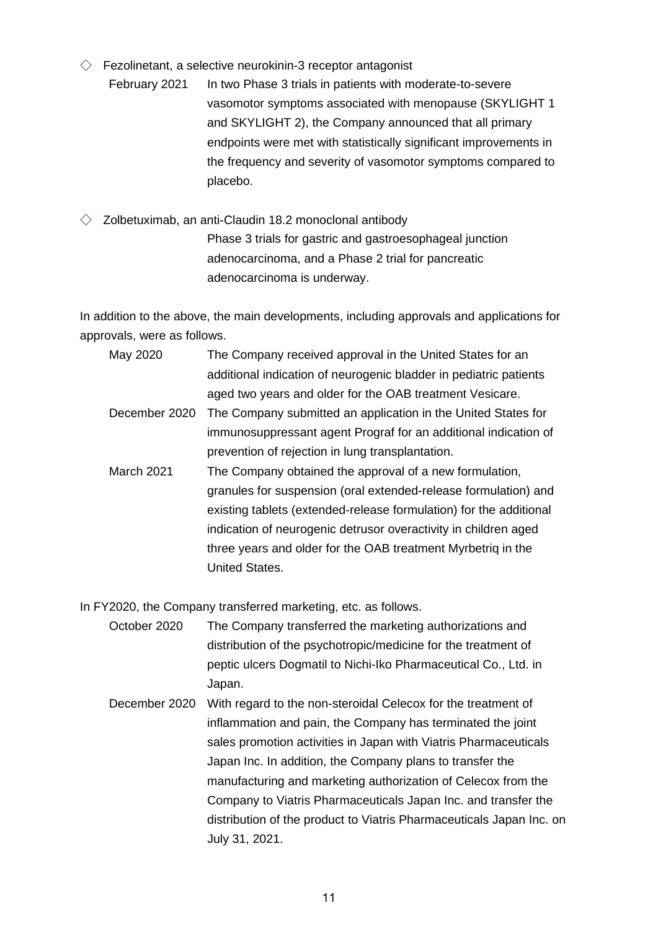- $\Diamond$  Fezolinetant, a selective neurokinin-3 receptor antagonist
	- February 2021 In two Phase 3 trials in patients with moderate-to-severe vasomotor symptoms associated with menopause (SKYLIGHT 1 and SKYLIGHT 2), the Company announced that all primary endpoints were met with statistically significant improvements in the frequency and severity of vasomotor symptoms compared to placebo.
- $\Diamond$  Zolbetuximab, an anti-Claudin 18.2 monoclonal antibody Phase 3 trials for gastric and gastroesophageal junction adenocarcinoma, and a Phase 2 trial for pancreatic adenocarcinoma is underway.

In addition to the above, the main developments, including approvals and applications for approvals, were as follows.

- May 2020 The Company received approval in the United States for an additional indication of neurogenic bladder in pediatric patients aged two years and older for the OAB treatment Vesicare.
- December 2020 The Company submitted an application in the United States for immunosuppressant agent Prograf for an additional indication of prevention of rejection in lung transplantation.
- March 2021 The Company obtained the approval of a new formulation, granules for suspension (oral extended-release formulation) and existing tablets (extended-release formulation) for the additional indication of neurogenic detrusor overactivity in children aged three years and older for the OAB treatment Myrbetriq in the United States.

In FY2020, the Company transferred marketing, etc. as follows.

- October 2020 The Company transferred the marketing authorizations and distribution of the psychotropic/medicine for the treatment of peptic ulcers Dogmatil to Nichi-Iko Pharmaceutical Co., Ltd. in Japan.
- December 2020 With regard to the non-steroidal Celecox for the treatment of inflammation and pain, the Company has terminated the joint sales promotion activities in Japan with Viatris Pharmaceuticals Japan Inc. In addition, the Company plans to transfer the manufacturing and marketing authorization of Celecox from the Company to Viatris Pharmaceuticals Japan Inc. and transfer the distribution of the product to Viatris Pharmaceuticals Japan Inc. on July 31, 2021.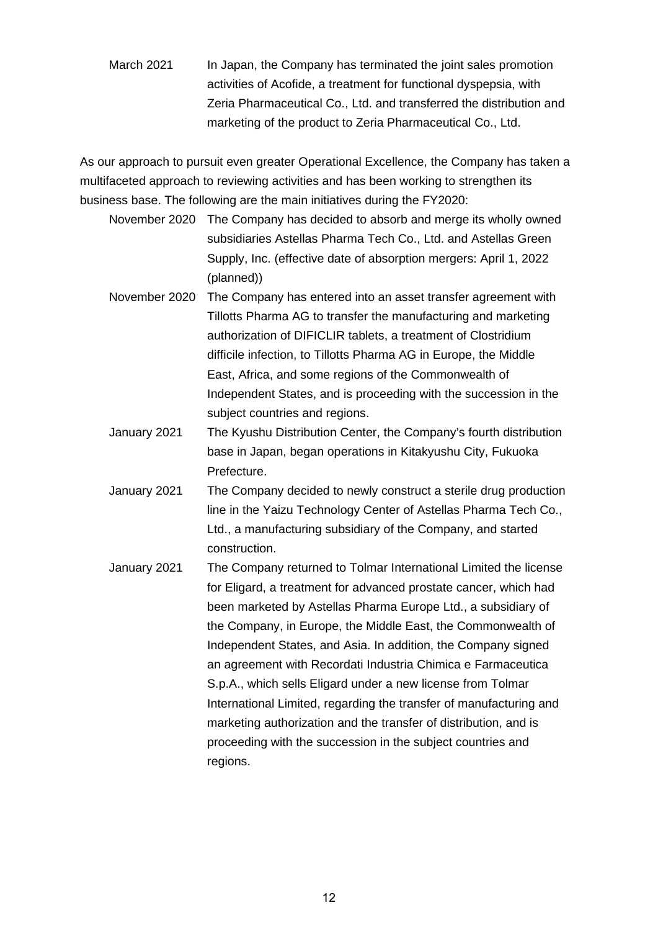March 2021 In Japan, the Company has terminated the joint sales promotion activities of Acofide, a treatment for functional dyspepsia, with Zeria Pharmaceutical Co., Ltd. and transferred the distribution and marketing of the product to Zeria Pharmaceutical Co., Ltd.

As our approach to pursuit even greater Operational Excellence, the Company has taken a multifaceted approach to reviewing activities and has been working to strengthen its business base. The following are the main initiatives during the FY2020:

- November 2020 The Company has decided to absorb and merge its wholly owned subsidiaries Astellas Pharma Tech Co., Ltd. and Astellas Green Supply, Inc. (effective date of absorption mergers: April 1, 2022 (planned))
- November 2020 The Company has entered into an asset transfer agreement with Tillotts Pharma AG to transfer the manufacturing and marketing authorization of DIFICLIR tablets, a treatment of Clostridium difficile infection, to Tillotts Pharma AG in Europe, the Middle East, Africa, and some regions of the Commonwealth of Independent States, and is proceeding with the succession in the subject countries and regions.
- January 2021 The Kyushu Distribution Center, the Company's fourth distribution base in Japan, began operations in Kitakyushu City, Fukuoka Prefecture.
- January 2021 The Company decided to newly construct a sterile drug production line in the Yaizu Technology Center of Astellas Pharma Tech Co., Ltd., a manufacturing subsidiary of the Company, and started construction.
- January 2021 The Company returned to Tolmar International Limited the license for Eligard, a treatment for advanced prostate cancer, which had been marketed by Astellas Pharma Europe Ltd., a subsidiary of the Company, in Europe, the Middle East, the Commonwealth of Independent States, and Asia. In addition, the Company signed an agreement with Recordati Industria Chimica e Farmaceutica S.p.A., which sells Eligard under a new license from Tolmar International Limited, regarding the transfer of manufacturing and marketing authorization and the transfer of distribution, and is proceeding with the succession in the subject countries and regions.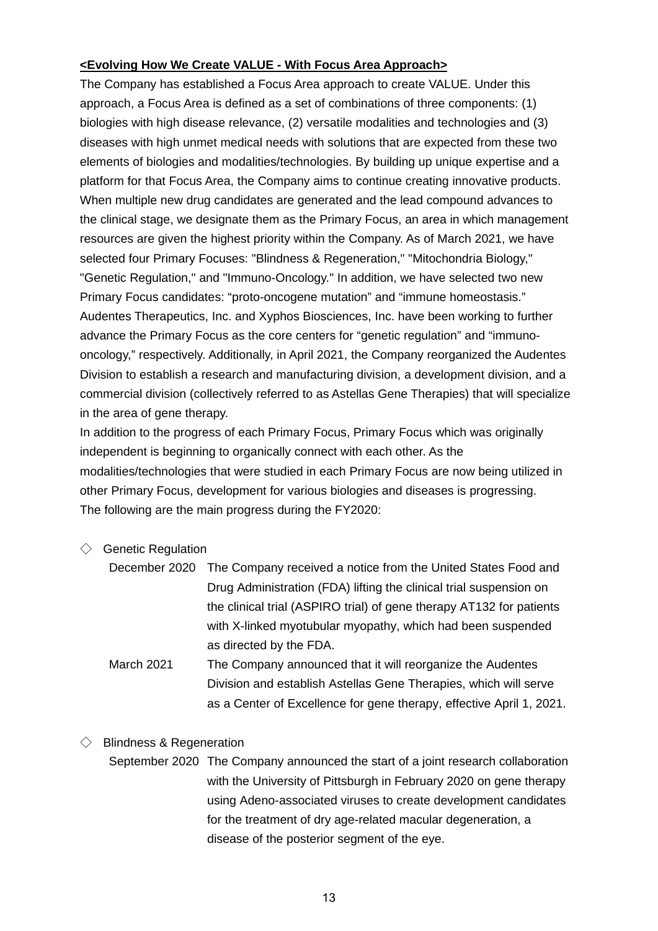## **<Evolving How We Create VALUE - With Focus Area Approach>**

The Company has established a Focus Area approach to create VALUE. Under this approach, a Focus Area is defined as a set of combinations of three components: (1) biologies with high disease relevance, (2) versatile modalities and technologies and (3) diseases with high unmet medical needs with solutions that are expected from these two elements of biologies and modalities/technologies. By building up unique expertise and a platform for that Focus Area, the Company aims to continue creating innovative products. When multiple new drug candidates are generated and the lead compound advances to the clinical stage, we designate them as the Primary Focus, an area in which management resources are given the highest priority within the Company. As of March 2021, we have selected four Primary Focuses: "Blindness & Regeneration," "Mitochondria Biology," "Genetic Regulation," and "Immuno-Oncology." In addition, we have selected two new Primary Focus candidates: "proto-oncogene mutation" and "immune homeostasis." Audentes Therapeutics, Inc. and Xyphos Biosciences, Inc. have been working to further advance the Primary Focus as the core centers for "genetic regulation" and "immunooncology," respectively. Additionally, in April 2021, the Company reorganized the Audentes Division to establish a research and manufacturing division, a development division, and a commercial division (collectively referred to as Astellas Gene Therapies) that will specialize in the area of gene therapy.

In addition to the progress of each Primary Focus, Primary Focus which was originally independent is beginning to organically connect with each other. As the modalities/technologies that were studied in each Primary Focus are now being utilized in other Primary Focus, development for various biologies and diseases is progressing. The following are the main progress during the FY2020:

#### $\Diamond$  Genetic Regulation

| December 2020 The Company received a notice from the United States Food and |
|-----------------------------------------------------------------------------|
| Drug Administration (FDA) lifting the clinical trial suspension on          |
| the clinical trial (ASPIRO trial) of gene therapy AT132 for patients        |
| with X-linked myotubular myopathy, which had been suspended                 |
| as directed by the FDA.                                                     |

March 2021 The Company announced that it will reorganize the Audentes Division and establish Astellas Gene Therapies, which will serve as a Center of Excellence for gene therapy, effective April 1, 2021.

#### $\Diamond$  Blindness & Regeneration

September 2020 The Company announced the start of a joint research collaboration with the University of Pittsburgh in February 2020 on gene therapy using Adeno-associated viruses to create development candidates for the treatment of dry age-related macular degeneration, a disease of the posterior segment of the eye.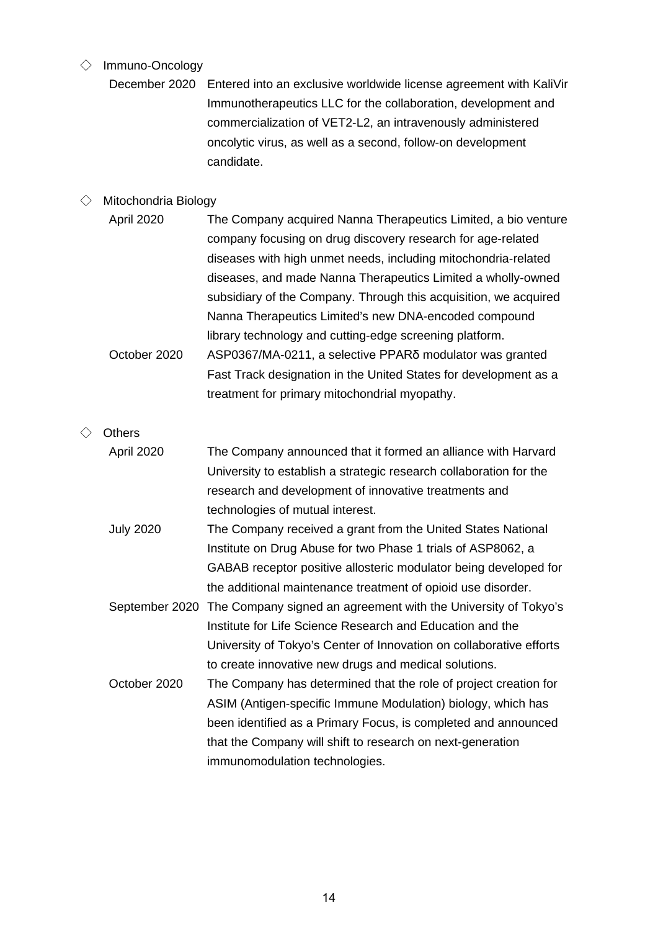# ◇ Immuno-Oncology

| December 2020 Entered into an exclusive worldwide license agreement with KaliVir |
|----------------------------------------------------------------------------------|
| Immunotherapeutics LLC for the collaboration, development and                    |
| commercialization of VET2-L2, an intravenously administered                      |
| oncolytic virus, as well as a second, follow-on development                      |
| candidate.                                                                       |

# $\Diamond$  Mitochondria Biology

| <b>April 2020</b> | The Company acquired Nanna Therapeutics Limited, a bio venture   |
|-------------------|------------------------------------------------------------------|
|                   | company focusing on drug discovery research for age-related      |
|                   | diseases with high unmet needs, including mitochondria-related   |
|                   | diseases, and made Nanna Therapeutics Limited a wholly-owned     |
|                   | subsidiary of the Company. Through this acquisition, we acquired |
|                   | Nanna Therapeutics Limited's new DNA-encoded compound            |
|                   | library technology and cutting-edge screening platform.          |
| October 2020      | ASP0367/MA-0211, a selective PPARδ modulator was granted         |
|                   | Fast Track designation in the United States for development as a |
|                   | treatment for primary mitochondrial myopathy.                    |
|                   |                                                                  |

# ◇ Others

| April 2020       | The Company announced that it formed an alliance with Harvard                 |
|------------------|-------------------------------------------------------------------------------|
|                  | University to establish a strategic research collaboration for the            |
|                  | research and development of innovative treatments and                         |
|                  | technologies of mutual interest.                                              |
| <b>July 2020</b> | The Company received a grant from the United States National                  |
|                  | Institute on Drug Abuse for two Phase 1 trials of ASP8062, a                  |
|                  | GABAB receptor positive allosteric modulator being developed for              |
|                  | the additional maintenance treatment of opioid use disorder.                  |
|                  | September 2020 The Company signed an agreement with the University of Tokyo's |
|                  | Institute for Life Science Research and Education and the                     |
|                  | University of Tokyo's Center of Innovation on collaborative efforts           |
|                  | to create innovative new drugs and medical solutions.                         |
| October 2020     | The Company has determined that the role of project creation for              |
|                  | ASIM (Antigen-specific Immune Modulation) biology, which has                  |
|                  | been identified as a Primary Focus, is completed and announced                |
|                  | that the Company will shift to research on next-generation                    |
|                  | immunomodulation technologies.                                                |
|                  |                                                                               |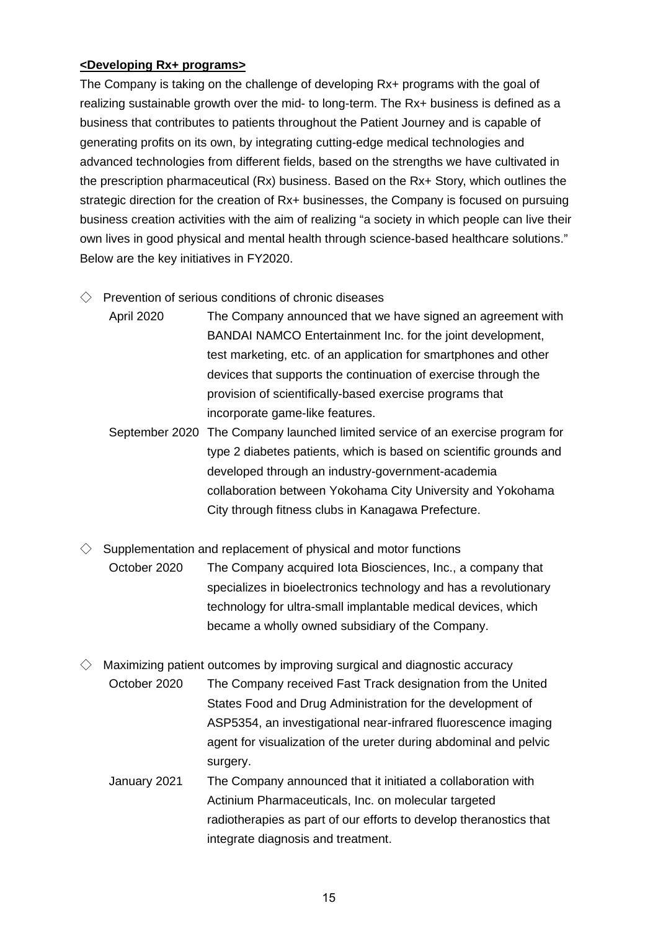#### **<Developing Rx+ programs>**

The Company is taking on the challenge of developing Rx+ programs with the goal of realizing sustainable growth over the mid- to long-term. The Rx+ business is defined as a business that contributes to patients throughout the Patient Journey and is capable of generating profits on its own, by integrating cutting-edge medical technologies and advanced technologies from different fields, based on the strengths we have cultivated in the prescription pharmaceutical (Rx) business. Based on the Rx+ Story, which outlines the strategic direction for the creation of Rx+ businesses, the Company is focused on pursuing business creation activities with the aim of realizing "a society in which people can live their own lives in good physical and mental health through science-based healthcare solutions." Below are the key initiatives in FY2020.

- $\Diamond$  Prevention of serious conditions of chronic diseases
	- April 2020 The Company announced that we have signed an agreement with BANDAI NAMCO Entertainment Inc. for the joint development, test marketing, etc. of an application for smartphones and other devices that supports the continuation of exercise through the provision of scientifically-based exercise programs that incorporate game-like features.
	- September 2020 The Company launched limited service of an exercise program for type 2 diabetes patients, which is based on scientific grounds and developed through an industry-government-academia collaboration between Yokohama City University and Yokohama City through fitness clubs in Kanagawa Prefecture.
- $\Diamond$  Supplementation and replacement of physical and motor functions October 2020 The Company acquired Iota Biosciences, Inc., a company that specializes in bioelectronics technology and has a revolutionary technology for ultra-small implantable medical devices, which became a wholly owned subsidiary of the Company.
- $\Diamond$  Maximizing patient outcomes by improving surgical and diagnostic accuracy October 2020 The Company received Fast Track designation from the United States Food and Drug Administration for the development of ASP5354, an investigational near-infrared fluorescence imaging agent for visualization of the ureter during abdominal and pelvic surgery.
	- January 2021 The Company announced that it initiated a collaboration with Actinium Pharmaceuticals, Inc. on molecular targeted radiotherapies as part of our efforts to develop theranostics that integrate diagnosis and treatment.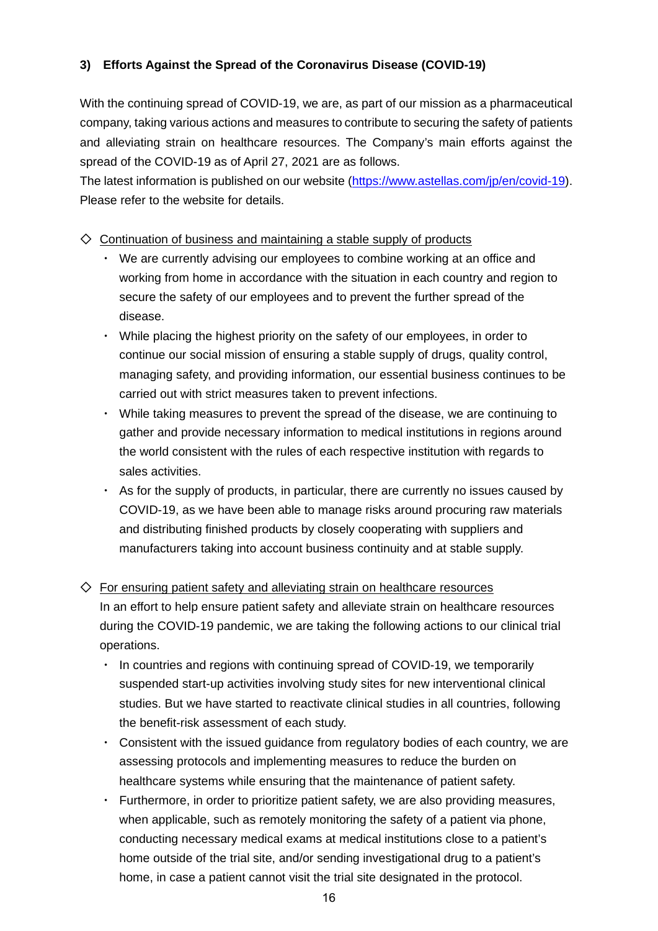## **3) Efforts Against the Spread of the Coronavirus Disease (COVID-19)**

With the continuing spread of COVID-19, we are, as part of our mission as a pharmaceutical company, taking various actions and measures to contribute to securing the safety of patients and alleviating strain on healthcare resources. The Company's main efforts against the spread of the COVID-19 as of April 27, 2021 are as follows.

The latest information is published on our website [\(https://www.astellas.com/jp/en/covid-19\)](https://www.astellas.com/jp/en/covid-19). Please refer to the website for details.

## $\diamondsuit$  Continuation of business and maintaining a stable supply of products

- We are currently advising our employees to combine working at an office and working from home in accordance with the situation in each country and region to secure the safety of our employees and to prevent the further spread of the disease.
- ・ While placing the highest priority on the safety of our employees, in order to continue our social mission of ensuring a stable supply of drugs, quality control, managing safety, and providing information, our essential business continues to be carried out with strict measures taken to prevent infections.
- ・ While taking measures to prevent the spread of the disease, we are continuing to gather and provide necessary information to medical institutions in regions around the world consistent with the rules of each respective institution with regards to sales activities.
- ・ As for the supply of products, in particular, there are currently no issues caused by COVID-19, as we have been able to manage risks around procuring raw materials and distributing finished products by closely cooperating with suppliers and manufacturers taking into account business continuity and at stable supply.

## $\diamondsuit$  For ensuring patient safety and alleviating strain on healthcare resources

In an effort to help ensure patient safety and alleviate strain on healthcare resources during the COVID-19 pandemic, we are taking the following actions to our clinical trial operations.

- In countries and regions with continuing spread of COVID-19, we temporarily suspended start-up activities involving study sites for new interventional clinical studies. But we have started to reactivate clinical studies in all countries, following the benefit-risk assessment of each study.
- Consistent with the issued guidance from regulatory bodies of each country, we are assessing protocols and implementing measures to reduce the burden on healthcare systems while ensuring that the maintenance of patient safety.
- Furthermore, in order to prioritize patient safety, we are also providing measures, when applicable, such as remotely monitoring the safety of a patient via phone, conducting necessary medical exams at medical institutions close to a patient's home outside of the trial site, and/or sending investigational drug to a patient's home, in case a patient cannot visit the trial site designated in the protocol.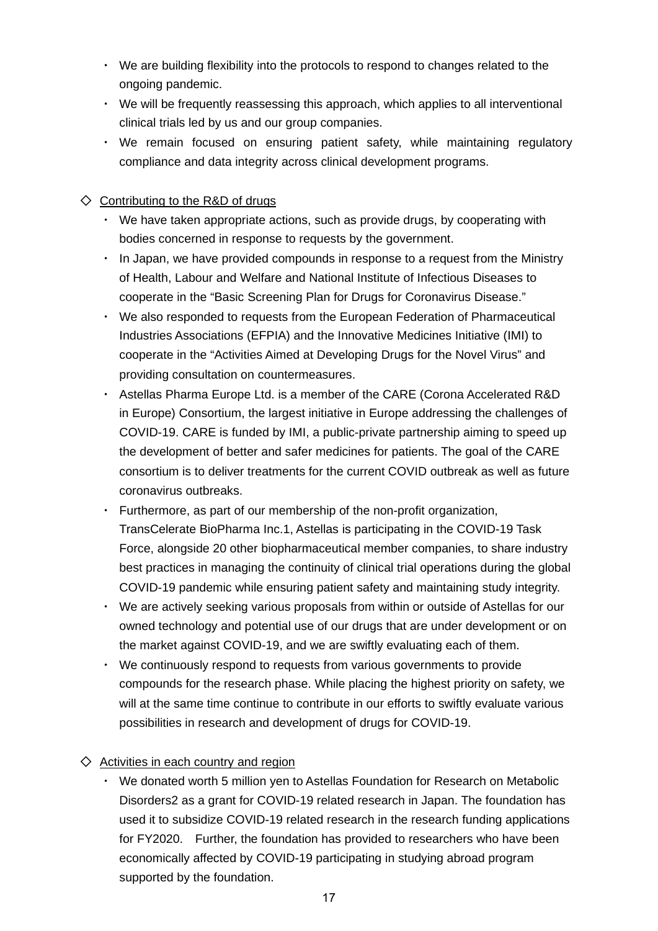- ・ We are building flexibility into the protocols to respond to changes related to the ongoing pandemic.
- ・ We will be frequently reassessing this approach, which applies to all interventional clinical trials led by us and our group companies.
- ・ We remain focused on ensuring patient safety, while maintaining regulatory compliance and data integrity across clinical development programs.

## $\Diamond$  Contributing to the R&D of drugs

- ・ We have taken appropriate actions, such as provide drugs, by cooperating with bodies concerned in response to requests by the government.
- ・ In Japan, we have provided compounds in response to a request from the Ministry of Health, Labour and Welfare and National Institute of Infectious Diseases to cooperate in the "Basic Screening Plan for Drugs for Coronavirus Disease."
- ・ We also responded to requests from the European Federation of Pharmaceutical Industries Associations (EFPIA) and the Innovative Medicines Initiative (IMI) to cooperate in the "Activities Aimed at Developing Drugs for the Novel Virus" and providing consultation on countermeasures.
- ・ Astellas Pharma Europe Ltd. is a member of the CARE (Corona Accelerated R&D in Europe) Consortium, the largest initiative in Europe addressing the challenges of COVID-19. CARE is funded by IMI, a public-private partnership aiming to speed up the development of better and safer medicines for patients. The goal of the CARE consortium is to deliver treatments for the current COVID outbreak as well as future coronavirus outbreaks.
- Furthermore, as part of our membership of the non-profit organization, TransCelerate BioPharma Inc.1, Astellas is participating in the COVID-19 Task Force, alongside 20 other biopharmaceutical member companies, to share industry best practices in managing the continuity of clinical trial operations during the global COVID-19 pandemic while ensuring patient safety and maintaining study integrity.
- We are actively seeking various proposals from within or outside of Astellas for our owned technology and potential use of our drugs that are under development or on the market against COVID-19, and we are swiftly evaluating each of them.
- We continuously respond to requests from various governments to provide compounds for the research phase. While placing the highest priority on safety, we will at the same time continue to contribute in our efforts to swiftly evaluate various possibilities in research and development of drugs for COVID-19.

## $\diamondsuit$  Activities in each country and region

We donated worth 5 million yen to Astellas Foundation for Research on Metabolic Disorders2 as a grant for COVID-19 related research in Japan. The foundation has used it to subsidize COVID-19 related research in the research funding applications for FY2020. Further, the foundation has provided to researchers who have been economically affected by COVID-19 participating in studying abroad program supported by the foundation.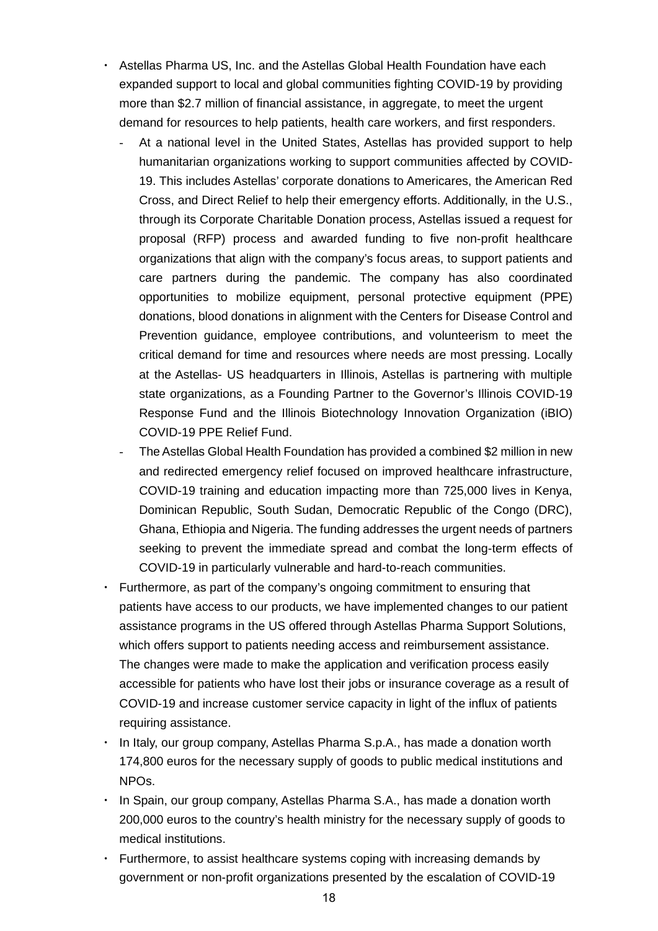- Astellas Pharma US, Inc. and the Astellas Global Health Foundation have each expanded support to local and global communities fighting COVID-19 by providing more than \$2.7 million of financial assistance, in aggregate, to meet the urgent demand for resources to help patients, health care workers, and first responders.
	- At a national level in the United States, Astellas has provided support to help humanitarian organizations working to support communities affected by COVID-19. This includes Astellas' corporate donations to Americares, the American Red Cross, and Direct Relief to help their emergency efforts. Additionally, in the U.S., through its Corporate Charitable Donation process, Astellas issued a request for proposal (RFP) process and awarded funding to five non-profit healthcare organizations that align with the company's focus areas, to support patients and care partners during the pandemic. The company has also coordinated opportunities to mobilize equipment, personal protective equipment (PPE) donations, blood donations in alignment with the Centers for Disease Control and Prevention guidance, employee contributions, and volunteerism to meet the critical demand for time and resources where needs are most pressing. Locally at the Astellas- US headquarters in Illinois, Astellas is partnering with multiple state organizations, as a Founding Partner to the Governor's Illinois COVID-19 Response Fund and the Illinois Biotechnology Innovation Organization (iBIO) COVID-19 PPE Relief Fund.
	- The Astellas Global Health Foundation has provided a combined \$2 million in new and redirected emergency relief focused on improved healthcare infrastructure, COVID-19 training and education impacting more than 725,000 lives in Kenya, Dominican Republic, South Sudan, Democratic Republic of the Congo (DRC), Ghana, Ethiopia and Nigeria. The funding addresses the urgent needs of partners seeking to prevent the immediate spread and combat the long-term effects of COVID-19 in particularly vulnerable and hard-to-reach communities.
- Furthermore, as part of the company's ongoing commitment to ensuring that patients have access to our products, we have implemented changes to our patient assistance programs in the US offered through Astellas Pharma Support Solutions, which offers support to patients needing access and reimbursement assistance. The changes were made to make the application and verification process easily accessible for patients who have lost their jobs or insurance coverage as a result of COVID-19 and increase customer service capacity in light of the influx of patients requiring assistance.
- In Italy, our group company, Astellas Pharma S.p.A., has made a donation worth 174,800 euros for the necessary supply of goods to public medical institutions and NPOs.
- In Spain, our group company, Astellas Pharma S.A., has made a donation worth 200,000 euros to the country's health ministry for the necessary supply of goods to medical institutions.
- Furthermore, to assist healthcare systems coping with increasing demands by government or non-profit organizations presented by the escalation of COVID-19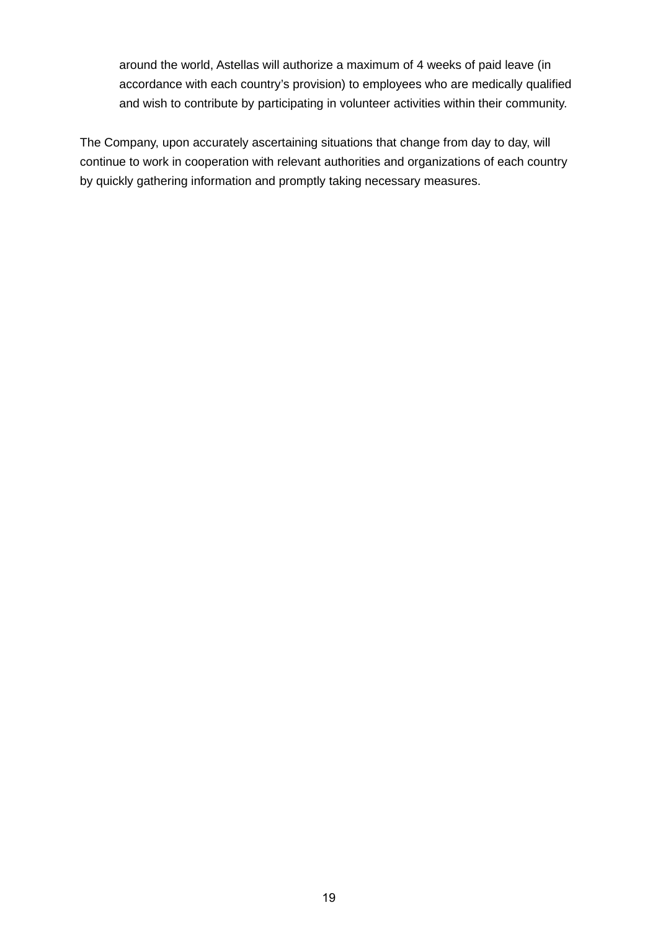around the world, Astellas will authorize a maximum of 4 weeks of paid leave (in accordance with each country's provision) to employees who are medically qualified and wish to contribute by participating in volunteer activities within their community.

The Company, upon accurately ascertaining situations that change from day to day, will continue to work in cooperation with relevant authorities and organizations of each country by quickly gathering information and promptly taking necessary measures.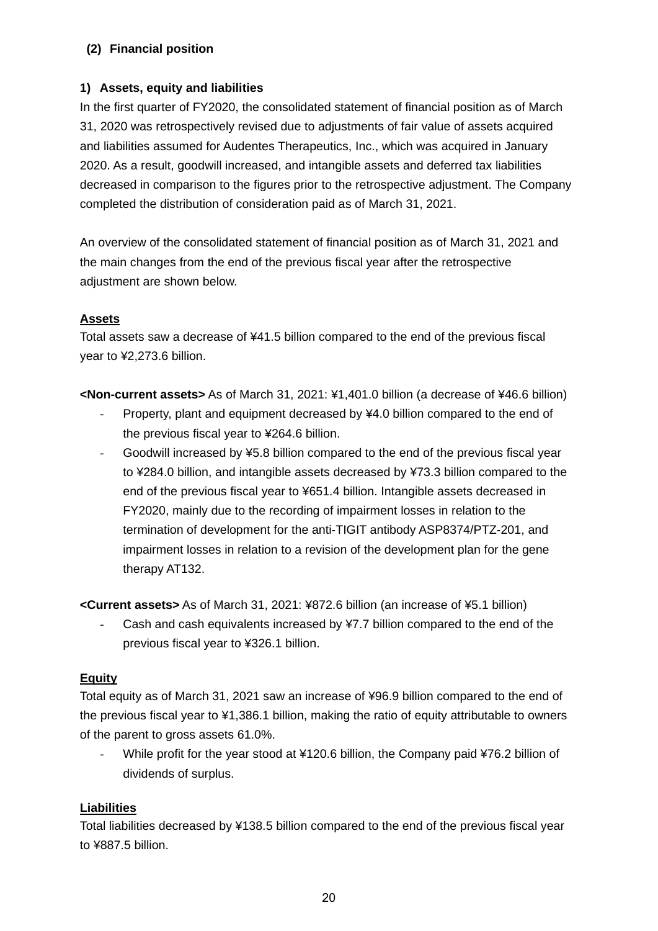## **(2) Financial position**

## **1) Assets, equity and liabilities**

In the first quarter of FY2020, the consolidated statement of financial position as of March 31, 2020 was retrospectively revised due to adjustments of fair value of assets acquired and liabilities assumed for Audentes Therapeutics, Inc., which was acquired in January 2020. As a result, goodwill increased, and intangible assets and deferred tax liabilities decreased in comparison to the figures prior to the retrospective adjustment. The Company completed the distribution of consideration paid as of March 31, 2021.

An overview of the consolidated statement of financial position as of March 31, 2021 and the main changes from the end of the previous fiscal year after the retrospective adjustment are shown below.

#### **Assets**

Total assets saw a decrease of ¥41.5 billion compared to the end of the previous fiscal year to ¥2,273.6 billion.

**<Non-current assets>** As of March 31, 2021: ¥1,401.0 billion (a decrease of ¥46.6 billion)

- Property, plant and equipment decreased by ¥4.0 billion compared to the end of the previous fiscal year to ¥264.6 billion.
- Goodwill increased by ¥5.8 billion compared to the end of the previous fiscal year to ¥284.0 billion, and intangible assets decreased by ¥73.3 billion compared to the end of the previous fiscal year to ¥651.4 billion. Intangible assets decreased in FY2020, mainly due to the recording of impairment losses in relation to the termination of development for the anti-TIGIT antibody ASP8374/PTZ-201, and impairment losses in relation to a revision of the development plan for the gene therapy AT132.

**<Current assets>** As of March 31, 2021: ¥872.6 billion (an increase of ¥5.1 billion)

Cash and cash equivalents increased by ¥7.7 billion compared to the end of the previous fiscal year to ¥326.1 billion.

## **Equity**

Total equity as of March 31, 2021 saw an increase of ¥96.9 billion compared to the end of the previous fiscal year to ¥1,386.1 billion, making the ratio of equity attributable to owners of the parent to gross assets 61.0%.

While profit for the year stood at ¥120.6 billion, the Company paid ¥76.2 billion of dividends of surplus.

## **Liabilities**

Total liabilities decreased by ¥138.5 billion compared to the end of the previous fiscal year to ¥887.5 billion.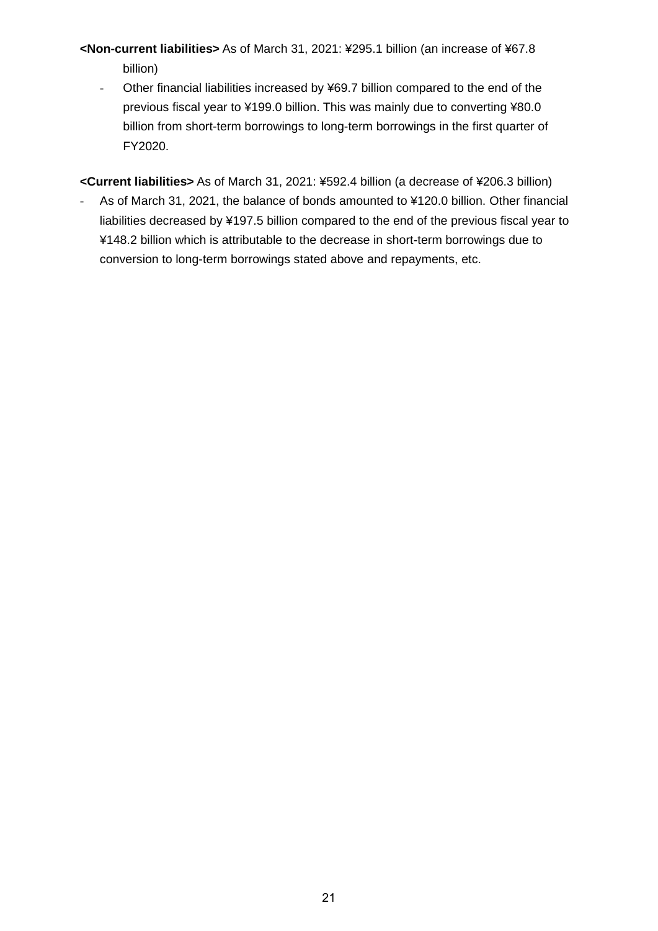# **<Non-current liabilities>** As of March 31, 2021: ¥295.1 billion (an increase of ¥67.8 billion)

- Other financial liabilities increased by ¥69.7 billion compared to the end of the previous fiscal year to ¥199.0 billion. This was mainly due to converting ¥80.0 billion from short-term borrowings to long-term borrowings in the first quarter of FY2020.

**<Current liabilities>** As of March 31, 2021: ¥592.4 billion (a decrease of ¥206.3 billion)

- As of March 31, 2021, the balance of bonds amounted to ¥120.0 billion. Other financial liabilities decreased by ¥197.5 billion compared to the end of the previous fiscal year to ¥148.2 billion which is attributable to the decrease in short-term borrowings due to conversion to long-term borrowings stated above and repayments, etc.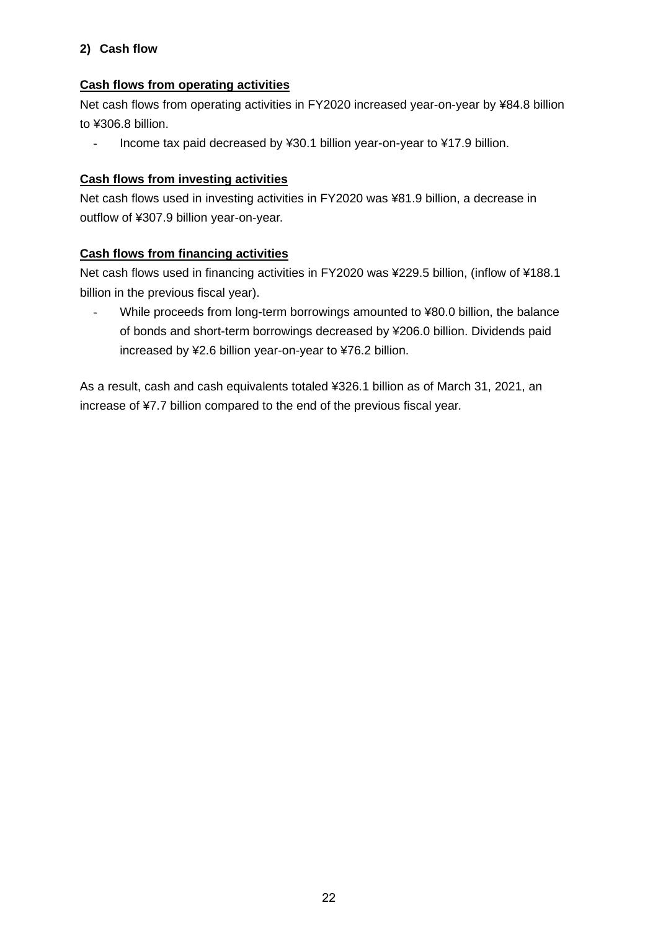# **2) Cash flow**

## **Cash flows from operating activities**

Net cash flows from operating activities in FY2020 increased year-on-year by ¥84.8 billion to ¥306.8 billion.

- Income tax paid decreased by ¥30.1 billion year-on-year to ¥17.9 billion.

## **Cash flows from investing activities**

Net cash flows used in investing activities in FY2020 was ¥81.9 billion, a decrease in outflow of ¥307.9 billion year-on-year.

## **Cash flows from financing activities**

Net cash flows used in financing activities in FY2020 was ¥229.5 billion, (inflow of ¥188.1 billion in the previous fiscal year).

While proceeds from long-term borrowings amounted to ¥80.0 billion, the balance of bonds and short-term borrowings decreased by ¥206.0 billion. Dividends paid increased by ¥2.6 billion year-on-year to ¥76.2 billion.

As a result, cash and cash equivalents totaled ¥326.1 billion as of March 31, 2021, an increase of ¥7.7 billion compared to the end of the previous fiscal year.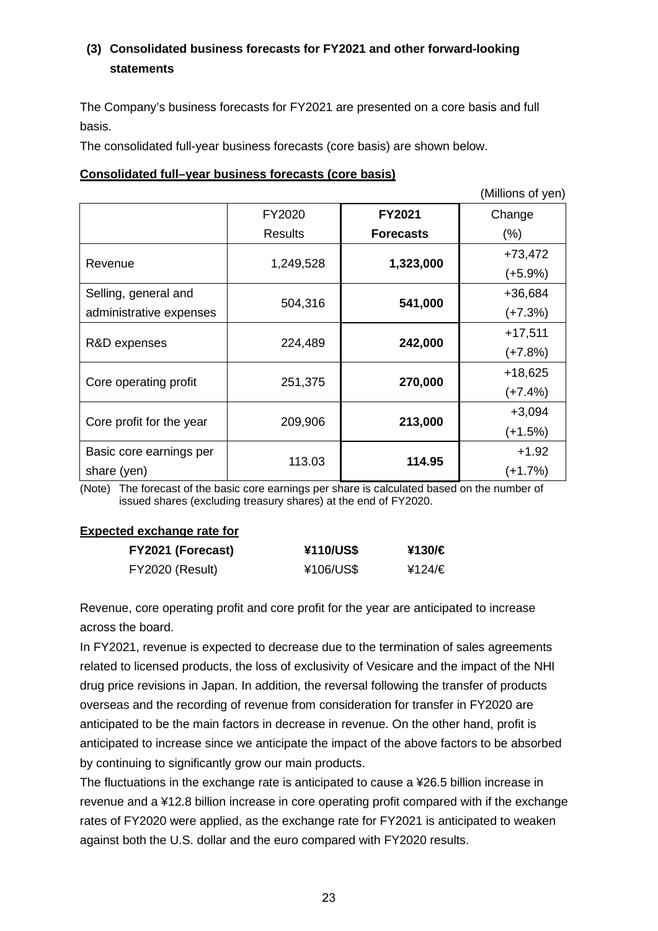# **(3) Consolidated business forecasts for FY2021 and other forward-looking statements**

The Company's business forecasts for FY2021 are presented on a core basis and full basis.

The consolidated full-year business forecasts (core basis) are shown below.

#### **Consolidated full–year business forecasts (core basis)**

(Millions of yen)

|                          | FY2020    | <b>FY2021</b>    | Change    |
|--------------------------|-----------|------------------|-----------|
|                          | Results   | <b>Forecasts</b> | (% )      |
|                          |           |                  | $+73,472$ |
| Revenue                  | 1,249,528 | 1,323,000        | $(+5.9%)$ |
| Selling, general and     |           |                  | +36,684   |
| administrative expenses  | 504,316   | 541,000          | $(+7.3%)$ |
|                          |           |                  | $+17,511$ |
| R&D expenses             | 224,489   | 242,000          | $(+7.8%)$ |
|                          |           |                  | $+18,625$ |
| Core operating profit    | 251,375   | 270,000          | $(+7.4%)$ |
|                          |           |                  | $+3,094$  |
| Core profit for the year | 209,906   | 213,000          | $(+1.5%)$ |
| Basic core earnings per  |           |                  | $+1.92$   |
| share (yen)              | 113.03    | 114.95           | (+1.7%)   |

(Note) The forecast of the basic core earnings per share is calculated based on the number of issued shares (excluding treasury shares) at the end of FY2020.

#### **Expected exchange rate for**

| FY2021 (Forecast) | ¥110/US\$ | ¥130/€ |
|-------------------|-----------|--------|
| FY2020 (Result)   | ¥106/US\$ | ¥124/€ |

Revenue, core operating profit and core profit for the year are anticipated to increase across the board.

In FY2021, revenue is expected to decrease due to the termination of sales agreements related to licensed products, the loss of exclusivity of Vesicare and the impact of the NHI drug price revisions in Japan. In addition, the reversal following the transfer of products overseas and the recording of revenue from consideration for transfer in FY2020 are anticipated to be the main factors in decrease in revenue. On the other hand, profit is anticipated to increase since we anticipate the impact of the above factors to be absorbed by continuing to significantly grow our main products.

The fluctuations in the exchange rate is anticipated to cause a ¥26.5 billion increase in revenue and a ¥12.8 billion increase in core operating profit compared with if the exchange rates of FY2020 were applied, as the exchange rate for FY2021 is anticipated to weaken against both the U.S. dollar and the euro compared with FY2020 results.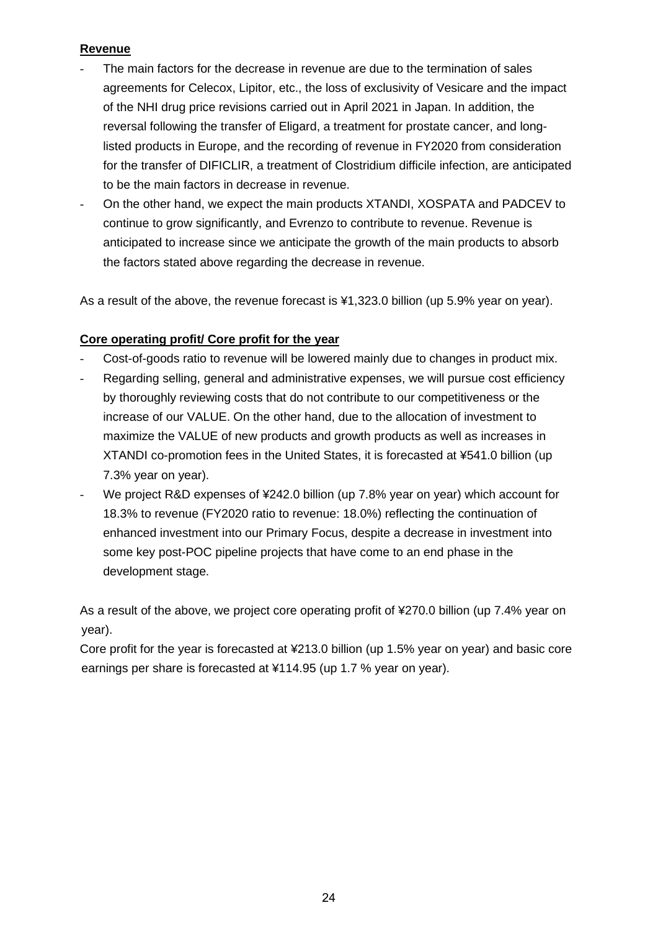## **Revenue**

- The main factors for the decrease in revenue are due to the termination of sales agreements for Celecox, Lipitor, etc., the loss of exclusivity of Vesicare and the impact of the NHI drug price revisions carried out in April 2021 in Japan. In addition, the reversal following the transfer of Eligard, a treatment for prostate cancer, and longlisted products in Europe, and the recording of revenue in FY2020 from consideration for the transfer of DIFICLIR, a treatment of Clostridium difficile infection, are anticipated to be the main factors in decrease in revenue.
- On the other hand, we expect the main products XTANDI, XOSPATA and PADCEV to continue to grow significantly, and Evrenzo to contribute to revenue. Revenue is anticipated to increase since we anticipate the growth of the main products to absorb the factors stated above regarding the decrease in revenue.

As a result of the above, the revenue forecast is ¥1,323.0 billion (up 5.9% year on year).

## **Core operating profit/ Core profit for the year**

- Cost-of-goods ratio to revenue will be lowered mainly due to changes in product mix.
- Regarding selling, general and administrative expenses, we will pursue cost efficiency by thoroughly reviewing costs that do not contribute to our competitiveness or the increase of our VALUE. On the other hand, due to the allocation of investment to maximize the VALUE of new products and growth products as well as increases in XTANDI co-promotion fees in the United States, it is forecasted at ¥541.0 billion (up 7.3% year on year).
- We project R&D expenses of ¥242.0 billion (up 7.8% year on year) which account for 18.3% to revenue (FY2020 ratio to revenue: 18.0%) reflecting the continuation of enhanced investment into our Primary Focus, despite a decrease in investment into some key post-POC pipeline projects that have come to an end phase in the development stage.

As a result of the above, we project core operating profit of ¥270.0 billion (up 7.4% year on year).

Core profit for the year is forecasted at ¥213.0 billion (up 1.5% year on year) and basic core earnings per share is forecasted at ¥114.95 (up 1.7 % year on year).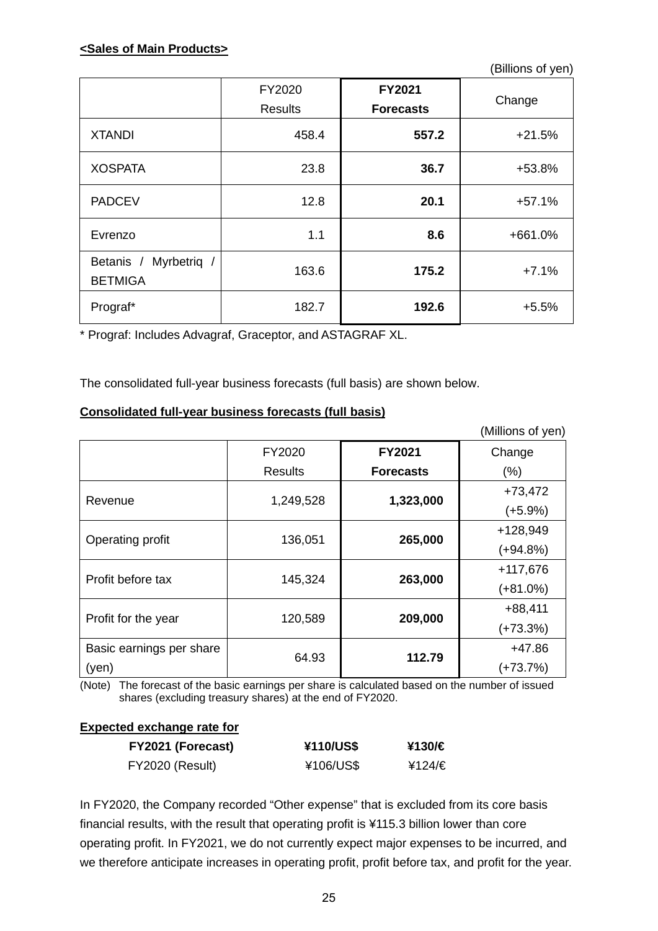(Billions of yen)

|                                            | FY2020<br><b>Results</b> | FY2021<br><b>Forecasts</b> | Change   |
|--------------------------------------------|--------------------------|----------------------------|----------|
| <b>XTANDI</b>                              | 458.4                    | 557.2                      | $+21.5%$ |
| <b>XOSPATA</b>                             | 23.8                     | 36.7                       | +53.8%   |
| <b>PADCEV</b>                              | 12.8                     | 20.1                       | $+57.1%$ |
| Evrenzo                                    | 1.1                      | 8.6                        | +661.0%  |
| Myrbetrig /<br>Betanis /<br><b>BETMIGA</b> | 163.6                    | 175.2                      | $+7.1%$  |
| Prograf*                                   | 182.7                    | 192.6                      | $+5.5%$  |

\* Prograf: Includes Advagraf, Graceptor, and ASTAGRAF XL.

The consolidated full-year business forecasts (full basis) are shown below.

## **Consolidated full-year business forecasts (full basis)**

|                          |                |                  | (Millions of yen) |
|--------------------------|----------------|------------------|-------------------|
|                          | FY2020         | FY2021           | Change            |
|                          | <b>Results</b> | <b>Forecasts</b> | $(\% )$           |
|                          |                |                  | $+73,472$         |
| Revenue                  | 1,249,528      | 1,323,000        | $(+5.9%)$         |
|                          |                |                  | +128,949          |
| Operating profit         | 136,051        | 265,000          | (+94.8%)          |
| Profit before tax        |                |                  | $+117,676$        |
|                          | 145,324        | 263,000          | $(+81.0\%)$       |
|                          |                |                  | $+88,411$         |
| Profit for the year      | 120,589        | 209,000          | $(+73.3%)$        |
| Basic earnings per share |                |                  | $+47.86$          |
| (yen)                    | 64.93          | 112.79           | (+73.7%)          |

(Note) The forecast of the basic earnings per share is calculated based on the number of issued shares (excluding treasury shares) at the end of FY2020.

## **Expected exchange rate for**

| FY2021 (Forecast) | ¥110/US\$ | ¥130/€ |
|-------------------|-----------|--------|
| FY2020 (Result)   | ¥106/US\$ | ¥124/€ |

In FY2020, the Company recorded "Other expense" that is excluded from its core basis financial results, with the result that operating profit is ¥115.3 billion lower than core operating profit. In FY2021, we do not currently expect major expenses to be incurred, and we therefore anticipate increases in operating profit, profit before tax, and profit for the year.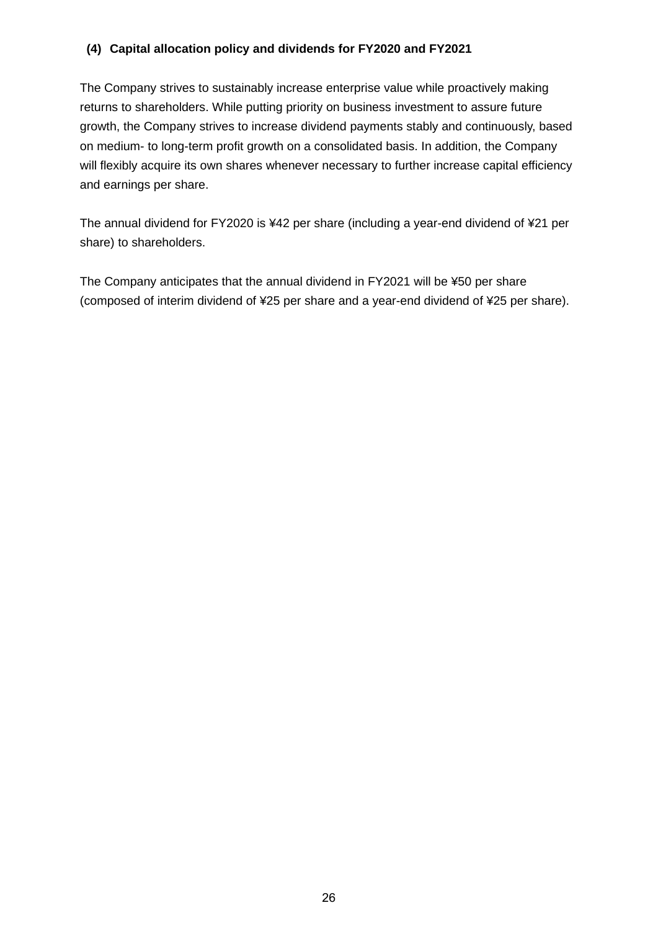## **(4) Capital allocation policy and dividends for FY2020 and FY2021**

The Company strives to sustainably increase enterprise value while proactively making returns to shareholders. While putting priority on business investment to assure future growth, the Company strives to increase dividend payments stably and continuously, based on medium- to long-term profit growth on a consolidated basis. In addition, the Company will flexibly acquire its own shares whenever necessary to further increase capital efficiency and earnings per share.

The annual dividend for FY2020 is ¥42 per share (including a year-end dividend of ¥21 per share) to shareholders.

The Company anticipates that the annual dividend in FY2021 will be ¥50 per share (composed of interim dividend of ¥25 per share and a year-end dividend of ¥25 per share).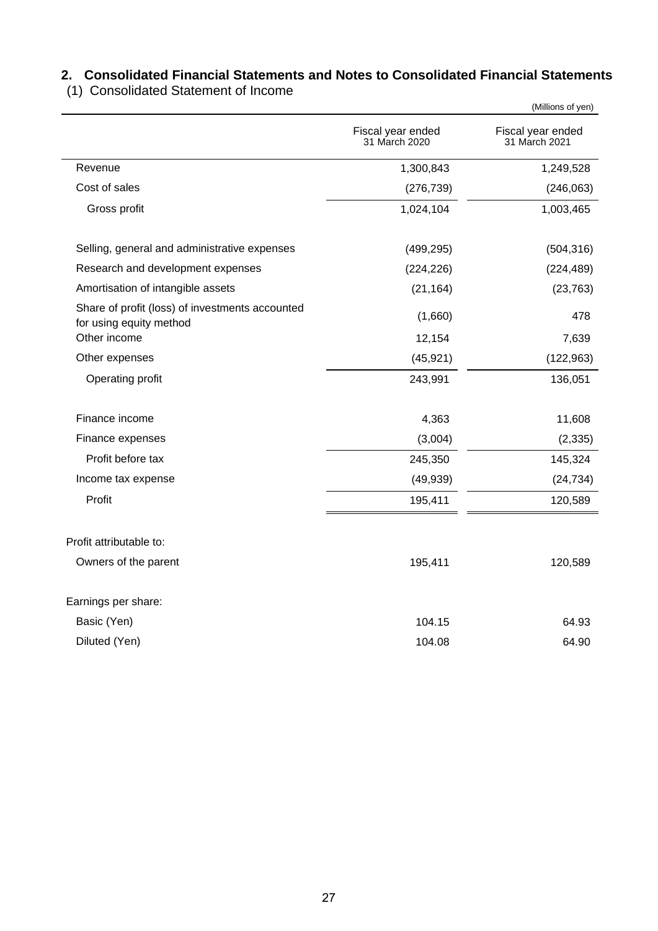# **2. Consolidated Financial Statements and Notes to Consolidated Financial Statements**

(1) Consolidated Statement of Income

|                                                                            |                                    | (Millions of yen)                  |
|----------------------------------------------------------------------------|------------------------------------|------------------------------------|
|                                                                            | Fiscal year ended<br>31 March 2020 | Fiscal year ended<br>31 March 2021 |
| Revenue                                                                    | 1,300,843                          | 1,249,528                          |
| Cost of sales                                                              | (276, 739)                         | (246, 063)                         |
| Gross profit                                                               | 1,024,104                          | 1,003,465                          |
| Selling, general and administrative expenses                               | (499, 295)                         | (504, 316)                         |
| Research and development expenses                                          | (224, 226)                         | (224, 489)                         |
| Amortisation of intangible assets                                          | (21, 164)                          | (23, 763)                          |
| Share of profit (loss) of investments accounted<br>for using equity method | (1,660)                            | 478                                |
| Other income                                                               | 12,154                             | 7,639                              |
| Other expenses                                                             | (45, 921)                          | (122, 963)                         |
| Operating profit                                                           | 243,991                            | 136,051                            |
| Finance income                                                             | 4,363                              | 11,608                             |
| Finance expenses                                                           | (3,004)                            | (2, 335)                           |
| Profit before tax                                                          | 245,350                            | 145,324                            |
| Income tax expense                                                         | (49, 939)                          | (24, 734)                          |
| Profit                                                                     | 195,411                            | 120,589                            |
| Profit attributable to:                                                    |                                    |                                    |
| Owners of the parent                                                       | 195,411                            | 120,589                            |
| Earnings per share:                                                        |                                    |                                    |
| Basic (Yen)                                                                | 104.15                             | 64.93                              |
| Diluted (Yen)                                                              | 104.08                             | 64.90                              |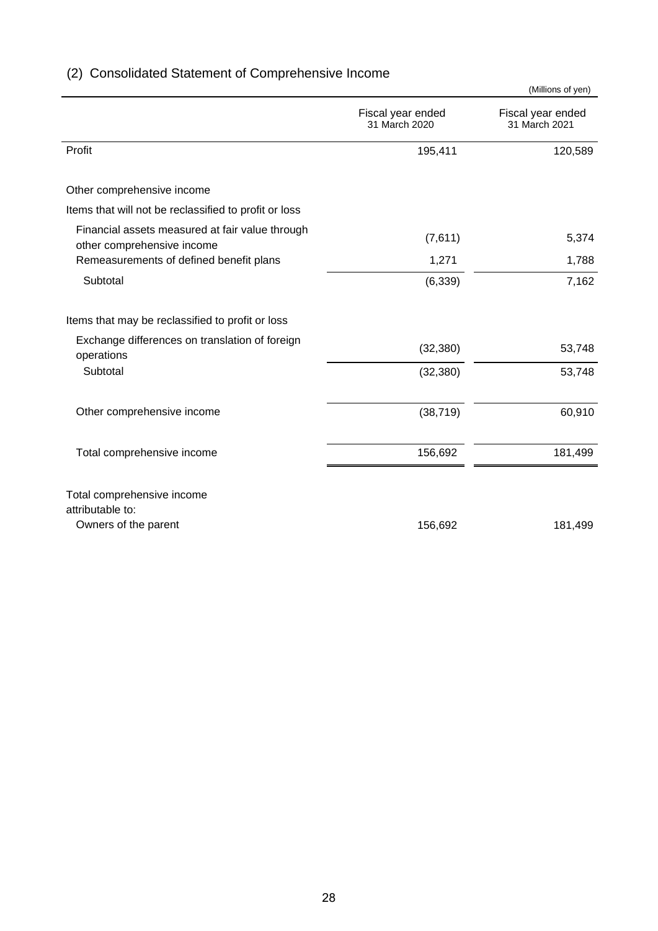|                                                                               |                                    | (Millions of yen)                  |
|-------------------------------------------------------------------------------|------------------------------------|------------------------------------|
|                                                                               | Fiscal year ended<br>31 March 2020 | Fiscal year ended<br>31 March 2021 |
| Profit                                                                        | 195,411                            | 120,589                            |
| Other comprehensive income                                                    |                                    |                                    |
| Items that will not be reclassified to profit or loss                         |                                    |                                    |
| Financial assets measured at fair value through<br>other comprehensive income | (7,611)                            | 5,374                              |
| Remeasurements of defined benefit plans                                       | 1,271                              | 1,788                              |
| Subtotal                                                                      | (6, 339)                           | 7,162                              |
| Items that may be reclassified to profit or loss                              |                                    |                                    |
| Exchange differences on translation of foreign<br>operations                  | (32, 380)                          | 53,748                             |
| Subtotal                                                                      | (32, 380)                          | 53,748                             |
| Other comprehensive income                                                    | (38, 719)                          | 60,910                             |
| Total comprehensive income                                                    | 156,692                            | 181,499                            |
| Total comprehensive income<br>attributable to:<br>Owners of the parent        | 156,692                            | 181,499                            |

# (2) Consolidated Statement of Comprehensive Income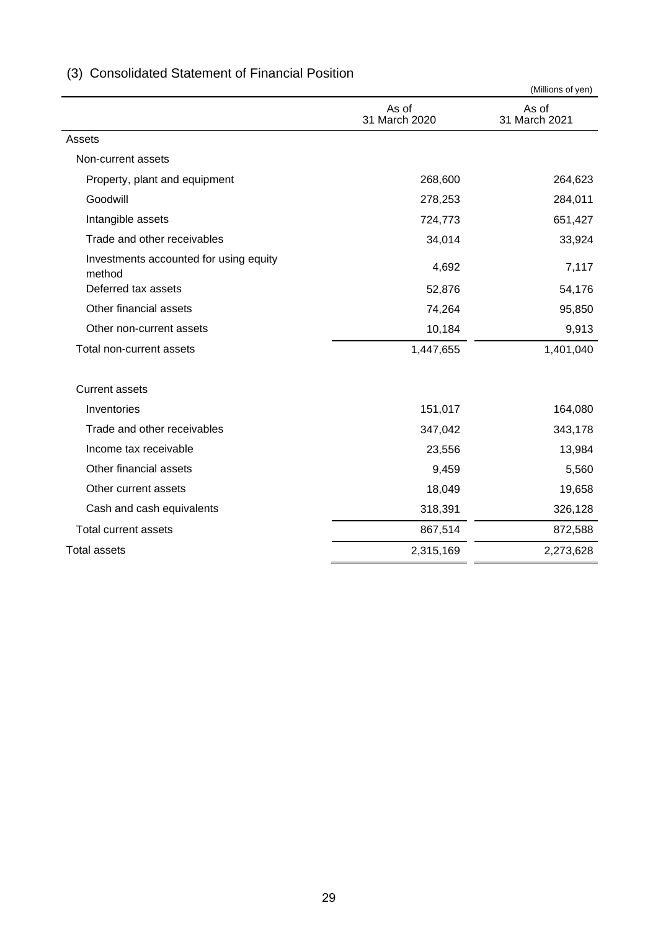|                                                  |                        | (Millions of yen)      |
|--------------------------------------------------|------------------------|------------------------|
|                                                  | As of<br>31 March 2020 | As of<br>31 March 2021 |
| Assets                                           |                        |                        |
| Non-current assets                               |                        |                        |
| Property, plant and equipment                    | 268,600                | 264,623                |
| Goodwill                                         | 278,253                | 284,011                |
| Intangible assets                                | 724,773                | 651,427                |
| Trade and other receivables                      | 34,014                 | 33,924                 |
| Investments accounted for using equity<br>method | 4,692                  | 7,117                  |
| Deferred tax assets                              | 52,876                 | 54,176                 |
| Other financial assets                           | 74,264                 | 95,850                 |
| Other non-current assets                         | 10,184                 | 9,913                  |
| Total non-current assets                         | 1,447,655              | 1,401,040              |
| <b>Current assets</b>                            |                        |                        |
| Inventories                                      | 151,017                | 164,080                |
| Trade and other receivables                      | 347,042                | 343,178                |
| Income tax receivable                            | 23,556                 | 13,984                 |
| Other financial assets                           | 9,459                  | 5,560                  |
| Other current assets                             | 18,049                 | 19,658                 |
| Cash and cash equivalents                        | 318,391                | 326,128                |
| Total current assets                             | 867,514                | 872,588                |
| <b>Total assets</b>                              | 2,315,169              | 2,273,628              |

# (3) Consolidated Statement of Financial Position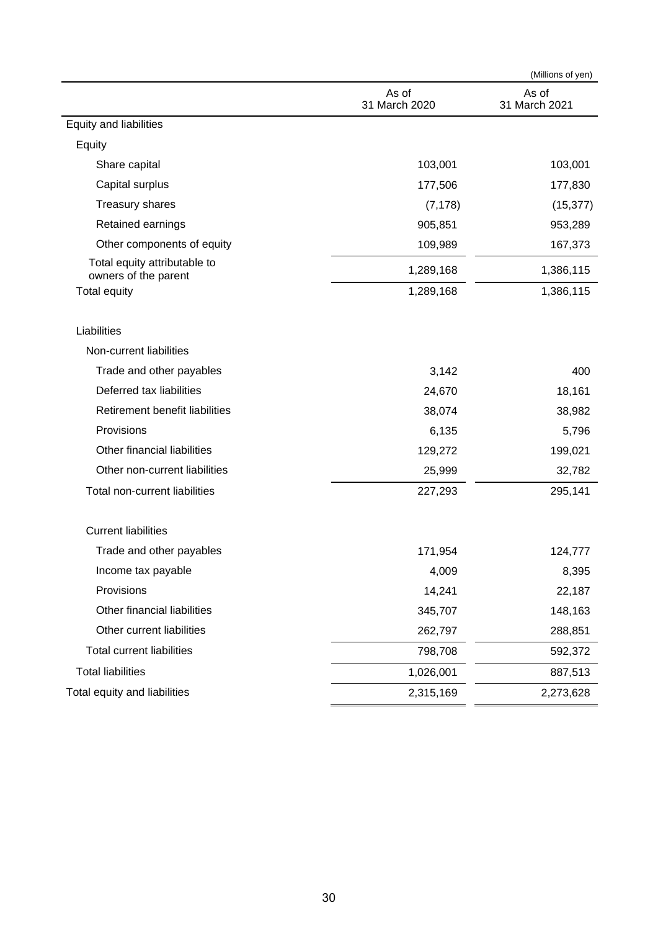|                                                      |                        | (Millions of yen)      |
|------------------------------------------------------|------------------------|------------------------|
|                                                      | As of<br>31 March 2020 | As of<br>31 March 2021 |
| Equity and liabilities                               |                        |                        |
| Equity                                               |                        |                        |
| Share capital                                        | 103,001                | 103,001                |
| Capital surplus                                      | 177,506                | 177,830                |
| Treasury shares                                      | (7, 178)               | (15, 377)              |
| Retained earnings                                    | 905,851                | 953,289                |
| Other components of equity                           | 109,989                | 167,373                |
| Total equity attributable to<br>owners of the parent | 1,289,168              | 1,386,115              |
| <b>Total equity</b>                                  | 1,289,168              | 1,386,115              |
| Liabilities                                          |                        |                        |
| Non-current liabilities                              |                        |                        |
| Trade and other payables                             | 3,142                  | 400                    |
| Deferred tax liabilities                             | 24,670                 | 18,161                 |
| Retirement benefit liabilities                       | 38,074                 | 38,982                 |
| Provisions                                           | 6,135                  | 5,796                  |
| Other financial liabilities                          | 129,272                | 199,021                |
| Other non-current liabilities                        | 25,999                 | 32,782                 |
| Total non-current liabilities                        | 227,293                | 295,141                |
| <b>Current liabilities</b>                           |                        |                        |
| Trade and other payables                             | 171,954                | 124,777                |
| Income tax payable                                   | 4,009                  | 8,395                  |
| Provisions                                           | 14,241                 | 22,187                 |
| Other financial liabilities                          | 345,707                | 148,163                |
| Other current liabilities                            | 262,797                | 288,851                |
| <b>Total current liabilities</b>                     | 798,708                | 592,372                |
| <b>Total liabilities</b>                             | 1,026,001              | 887,513                |
| Total equity and liabilities                         | 2,315,169              | 2,273,628              |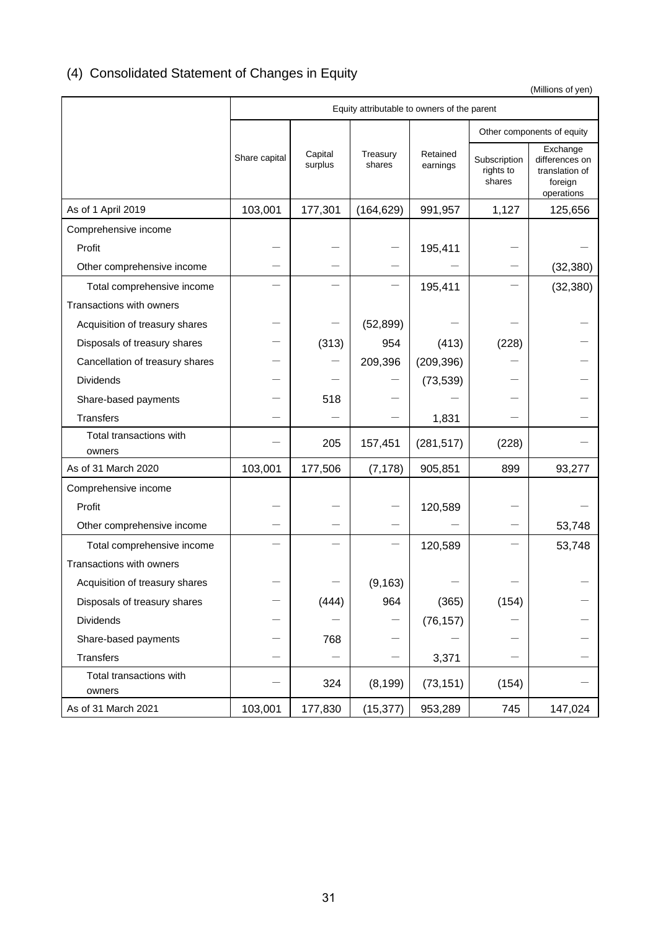# (4) Consolidated Statement of Changes in Equity

(Millions of yen)

|                                   | Equity attributable to owners of the parent |                    |                    |                      |                                     |                                                                       |
|-----------------------------------|---------------------------------------------|--------------------|--------------------|----------------------|-------------------------------------|-----------------------------------------------------------------------|
|                                   |                                             |                    |                    |                      |                                     | Other components of equity                                            |
|                                   | Share capital                               | Capital<br>surplus | Treasury<br>shares | Retained<br>earnings | Subscription<br>rights to<br>shares | Exchange<br>differences on<br>translation of<br>foreign<br>operations |
| As of 1 April 2019                | 103,001                                     | 177,301            | (164, 629)         | 991,957              | 1,127                               | 125,656                                                               |
| Comprehensive income              |                                             |                    |                    |                      |                                     |                                                                       |
| Profit                            |                                             |                    |                    | 195,411              |                                     |                                                                       |
| Other comprehensive income        |                                             |                    |                    |                      |                                     | (32, 380)                                                             |
| Total comprehensive income        |                                             |                    |                    | 195,411              |                                     | (32, 380)                                                             |
| Transactions with owners          |                                             |                    |                    |                      |                                     |                                                                       |
| Acquisition of treasury shares    |                                             |                    | (52, 899)          |                      |                                     |                                                                       |
| Disposals of treasury shares      |                                             | (313)              | 954                | (413)                | (228)                               |                                                                       |
| Cancellation of treasury shares   |                                             |                    | 209,396            | (209, 396)           |                                     |                                                                       |
| <b>Dividends</b>                  |                                             |                    |                    | (73, 539)            |                                     |                                                                       |
| Share-based payments              |                                             | 518                |                    |                      |                                     |                                                                       |
| <b>Transfers</b>                  |                                             |                    |                    | 1,831                |                                     |                                                                       |
| Total transactions with<br>owners |                                             | 205                | 157,451            | (281, 517)           | (228)                               |                                                                       |
| As of 31 March 2020               | 103,001                                     | 177,506            | (7, 178)           | 905,851              | 899                                 | 93,277                                                                |
| Comprehensive income              |                                             |                    |                    |                      |                                     |                                                                       |
| Profit                            |                                             |                    |                    | 120,589              |                                     |                                                                       |
| Other comprehensive income        |                                             |                    |                    |                      |                                     | 53,748                                                                |
| Total comprehensive income        |                                             |                    |                    | 120,589              |                                     | 53,748                                                                |
| Transactions with owners          |                                             |                    |                    |                      |                                     |                                                                       |
| Acquisition of treasury shares    |                                             |                    | (9, 163)           |                      |                                     |                                                                       |
| Disposals of treasury shares      |                                             | (444)              | 964                | (365)                | (154)                               |                                                                       |
| Dividends                         |                                             |                    |                    | (76, 157)            |                                     |                                                                       |
| Share-based payments              |                                             | 768                |                    |                      |                                     |                                                                       |
| <b>Transfers</b>                  |                                             |                    |                    | 3,371                |                                     |                                                                       |
| Total transactions with<br>owners |                                             | 324                | (8, 199)           | (73, 151)            | (154)                               |                                                                       |
| As of 31 March 2021               | 103,001                                     | 177,830            | (15, 377)          | 953,289              | 745                                 | 147,024                                                               |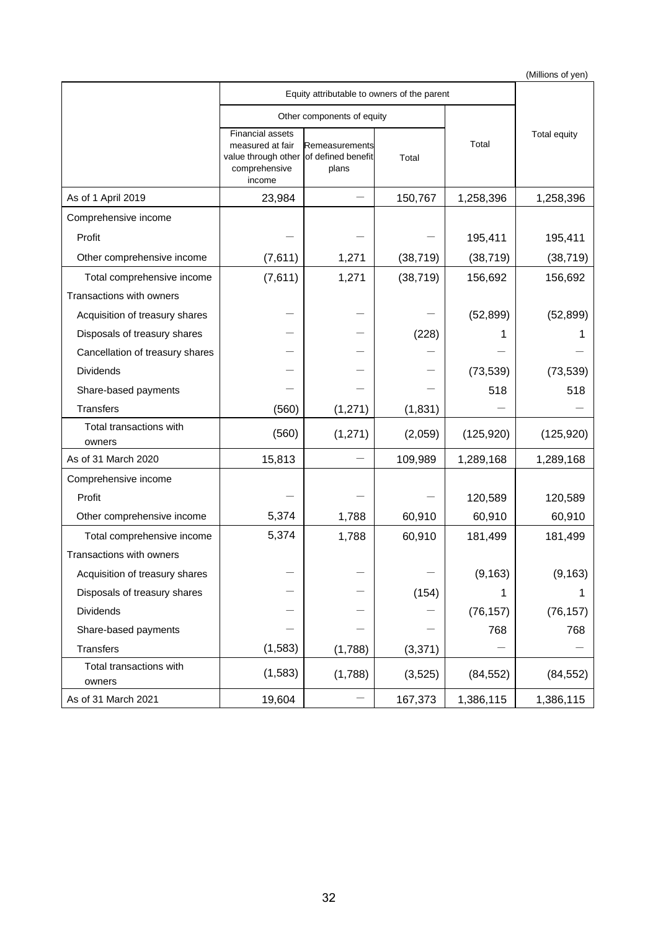(Millions of yen)

| Equity attributable to owners of the parent |                                                                                               |                                               |           |            |                     |
|---------------------------------------------|-----------------------------------------------------------------------------------------------|-----------------------------------------------|-----------|------------|---------------------|
|                                             |                                                                                               | Other components of equity                    |           |            |                     |
|                                             | <b>Financial assets</b><br>measured at fair<br>value through other<br>comprehensive<br>income | Remeasurements<br>of defined benefit<br>plans | Total     | Total      | <b>Total equity</b> |
| As of 1 April 2019                          | 23,984                                                                                        |                                               | 150,767   | 1,258,396  | 1,258,396           |
| Comprehensive income                        |                                                                                               |                                               |           |            |                     |
| Profit                                      |                                                                                               |                                               |           | 195,411    | 195,411             |
| Other comprehensive income                  | (7,611)                                                                                       | 1,271                                         | (38, 719) | (38, 719)  | (38, 719)           |
| Total comprehensive income                  | (7,611)                                                                                       | 1,271                                         | (38, 719) | 156,692    | 156,692             |
| Transactions with owners                    |                                                                                               |                                               |           |            |                     |
| Acquisition of treasury shares              |                                                                                               |                                               |           | (52, 899)  | (52, 899)           |
| Disposals of treasury shares                |                                                                                               |                                               | (228)     |            |                     |
| Cancellation of treasury shares             |                                                                                               |                                               |           |            |                     |
| <b>Dividends</b>                            |                                                                                               |                                               |           | (73, 539)  | (73, 539)           |
| Share-based payments                        |                                                                                               |                                               |           | 518        | 518                 |
| <b>Transfers</b>                            | (560)                                                                                         | (1, 271)                                      | (1, 831)  |            |                     |
| Total transactions with<br>owners           | (560)                                                                                         | (1, 271)                                      | (2,059)   | (125, 920) | (125, 920)          |
| As of 31 March 2020                         | 15,813                                                                                        |                                               | 109,989   | 1,289,168  | 1,289,168           |
| Comprehensive income                        |                                                                                               |                                               |           |            |                     |
| Profit                                      |                                                                                               |                                               |           | 120,589    | 120,589             |
| Other comprehensive income                  | 5,374                                                                                         | 1,788                                         | 60,910    | 60,910     | 60,910              |
| Total comprehensive income                  | 5,374                                                                                         | 1,788                                         | 60,910    | 181,499    | 181,499             |
| Transactions with owners                    |                                                                                               |                                               |           |            |                     |
| Acquisition of treasury shares              |                                                                                               |                                               |           | (9, 163)   | (9, 163)            |
| Disposals of treasury shares                |                                                                                               |                                               | (154)     | 1          |                     |
| Dividends                                   |                                                                                               |                                               |           | (76, 157)  | (76, 157)           |
| Share-based payments                        |                                                                                               |                                               |           | 768        | 768                 |
| <b>Transfers</b>                            | (1,583)                                                                                       | (1,788)                                       | (3, 371)  |            |                     |
| Total transactions with<br>owners           | (1,583)                                                                                       | (1,788)                                       | (3, 525)  | (84, 552)  | (84, 552)           |
| As of 31 March 2021                         | 19,604                                                                                        |                                               | 167,373   | 1,386,115  | 1,386,115           |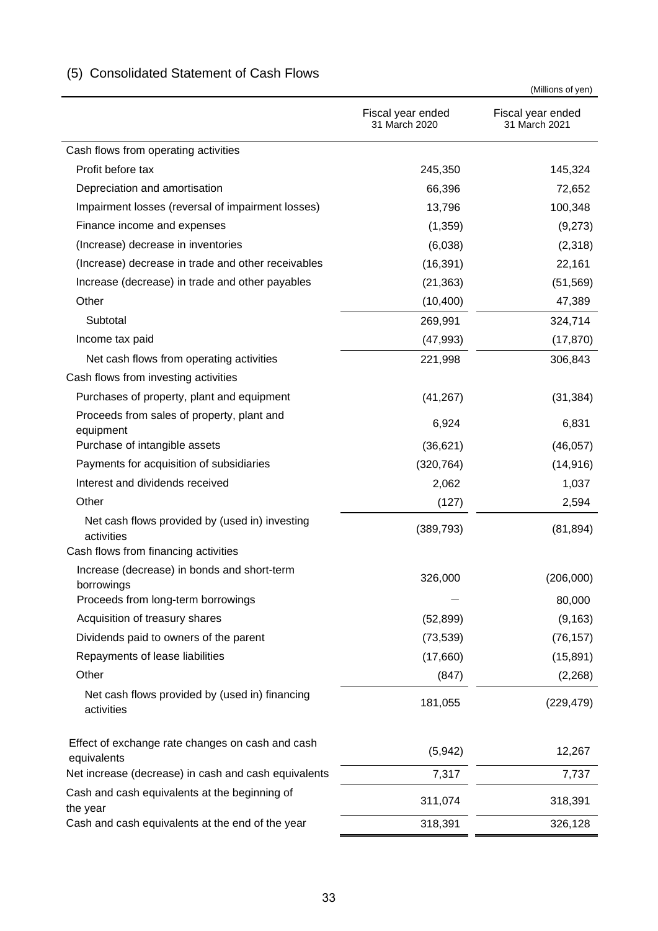|                                                                                                      |                                    | (Millions of yen)                  |
|------------------------------------------------------------------------------------------------------|------------------------------------|------------------------------------|
|                                                                                                      | Fiscal year ended<br>31 March 2020 | Fiscal year ended<br>31 March 2021 |
| Cash flows from operating activities                                                                 |                                    |                                    |
| Profit before tax                                                                                    | 245,350                            | 145,324                            |
| Depreciation and amortisation                                                                        | 66,396                             | 72,652                             |
| Impairment losses (reversal of impairment losses)                                                    | 13,796                             | 100,348                            |
| Finance income and expenses                                                                          | (1,359)                            | (9,273)                            |
| (Increase) decrease in inventories                                                                   | (6,038)                            | (2,318)                            |
| (Increase) decrease in trade and other receivables                                                   | (16, 391)                          | 22,161                             |
| Increase (decrease) in trade and other payables                                                      | (21, 363)                          | (51, 569)                          |
| Other                                                                                                | (10, 400)                          | 47,389                             |
| Subtotal                                                                                             | 269,991                            | 324,714                            |
| Income tax paid                                                                                      | (47, 993)                          | (17, 870)                          |
| Net cash flows from operating activities                                                             | 221,998                            | 306,843                            |
| Cash flows from investing activities                                                                 |                                    |                                    |
| Purchases of property, plant and equipment                                                           | (41, 267)                          | (31, 384)                          |
| Proceeds from sales of property, plant and<br>equipment                                              | 6,924                              | 6,831                              |
| Purchase of intangible assets                                                                        | (36, 621)                          | (46, 057)                          |
| Payments for acquisition of subsidiaries                                                             | (320, 764)                         | (14, 916)                          |
| Interest and dividends received                                                                      | 2,062                              | 1,037                              |
| Other                                                                                                | (127)                              | 2,594                              |
| Net cash flows provided by (used in) investing<br>activities<br>Cash flows from financing activities | (389, 793)                         | (81, 894)                          |
| Increase (decrease) in bonds and short-term                                                          | 326,000                            | (206,000)                          |
| borrowings                                                                                           |                                    |                                    |
| Proceeds from long-term borrowings                                                                   |                                    | 80,000                             |
| Acquisition of treasury shares                                                                       | (52, 899)                          | (9, 163)                           |
| Dividends paid to owners of the parent                                                               | (73, 539)                          | (76, 157)                          |
| Repayments of lease liabilities                                                                      | (17,660)                           | (15, 891)                          |
| Other                                                                                                | (847)                              | (2,268)                            |
| Net cash flows provided by (used in) financing<br>activities                                         | 181,055                            | (229, 479)                         |
| Effect of exchange rate changes on cash and cash<br>equivalents                                      | (5,942)                            | 12,267                             |
| Net increase (decrease) in cash and cash equivalents                                                 | 7,317                              | 7,737                              |
| Cash and cash equivalents at the beginning of<br>the year                                            | 311,074                            | 318,391                            |
| Cash and cash equivalents at the end of the year                                                     | 318,391                            | 326,128                            |

# (5) Consolidated Statement of Cash Flows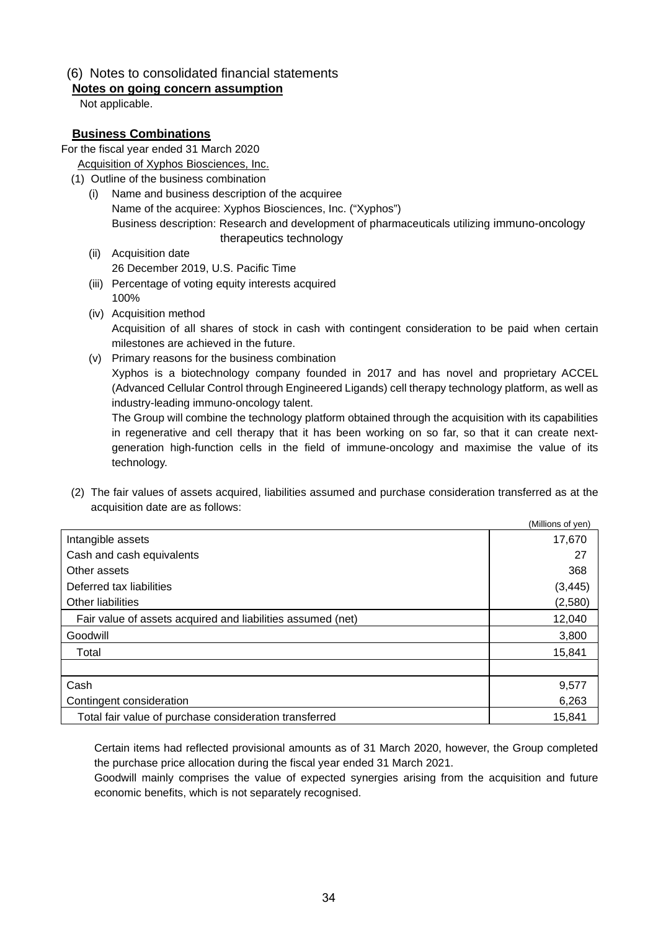## (6) Notes to consolidated financial statements

#### **Notes on going concern assumption**

Not applicable.

#### **Business Combinations**

For the fiscal year ended 31 March 2020

- Acquisition of Xyphos Biosciences, Inc.
- (1) Outline of the business combination
	- (i) Name and business description of the acquiree Name of the acquiree: Xyphos Biosciences, Inc. ("Xyphos") Business description: Research and development of pharmaceuticals utilizing immuno-oncology therapeutics technology
	- (ii) Acquisition date 26 December 2019, U.S. Pacific Time
	- (iii) Percentage of voting equity interests acquired 100%
	- (iv) Acquisition method Acquisition of all shares of stock in cash with contingent consideration to be paid when certain milestones are achieved in the future.
	- (v) Primary reasons for the business combination Xyphos is a biotechnology company founded in 2017 and has novel and proprietary ACCEL (Advanced Cellular Control through Engineered Ligands) cell therapy technology platform, as well as industry-leading immuno-oncology talent.

The Group will combine the technology platform obtained through the acquisition with its capabilities in regenerative and cell therapy that it has been working on so far, so that it can create nextgeneration high-function cells in the field of immune-oncology and maximise the value of its technology.

(2) The fair values of assets acquired, liabilities assumed and purchase consideration transferred as at the acquisition date are as follows:

|                                                             | (Millions of yen) |
|-------------------------------------------------------------|-------------------|
| Intangible assets                                           | 17,670            |
| Cash and cash equivalents                                   | 27                |
| Other assets                                                | 368               |
| Deferred tax liabilities                                    | (3, 445)          |
| Other liabilities                                           | (2,580)           |
| Fair value of assets acquired and liabilities assumed (net) | 12,040            |
| Goodwill                                                    | 3,800             |
| Total                                                       | 15,841            |
|                                                             |                   |
| Cash                                                        | 9,577             |
| Contingent consideration                                    | 6,263             |
| Total fair value of purchase consideration transferred      | 15,841            |

Certain items had reflected provisional amounts as of 31 March 2020, however, the Group completed the purchase price allocation during the fiscal year ended 31 March 2021.

Goodwill mainly comprises the value of expected synergies arising from the acquisition and future economic benefits, which is not separately recognised.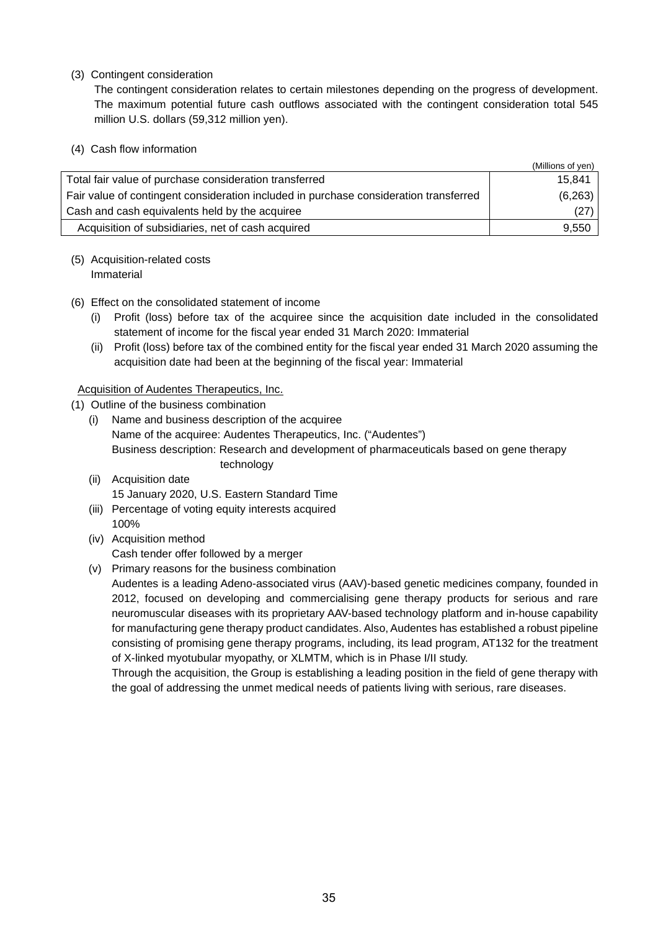(3) Contingent consideration

The contingent consideration relates to certain milestones depending on the progress of development. The maximum potential future cash outflows associated with the contingent consideration total 545 million U.S. dollars (59,312 million yen).

(4) Cash flow information

|                                                                                       | (Millions of yen) |
|---------------------------------------------------------------------------------------|-------------------|
| Total fair value of purchase consideration transferred                                | 15,841            |
| Fair value of contingent consideration included in purchase consideration transferred | (6,263)           |
| Cash and cash equivalents held by the acquiree                                        | (27)              |
| Acquisition of subsidiaries, net of cash acquired                                     | 9,550             |

#### (5) Acquisition-related costs Immaterial

- (6) Effect on the consolidated statement of income
	- (i) Profit (loss) before tax of the acquiree since the acquisition date included in the consolidated statement of income for the fiscal year ended 31 March 2020: Immaterial
	- (ii) Profit (loss) before tax of the combined entity for the fiscal year ended 31 March 2020 assuming the acquisition date had been at the beginning of the fiscal year: Immaterial

#### Acquisition of Audentes Therapeutics, Inc.

(1) Outline of the business combination

- (i) Name and business description of the acquiree Name of the acquiree: Audentes Therapeutics, Inc. ("Audentes") Business description: Research and development of pharmaceuticals based on gene therapy technology
- (ii) Acquisition date 15 January 2020, U.S. Eastern Standard Time
- (iii) Percentage of voting equity interests acquired 100%
- (iv) Acquisition method Cash tender offer followed by a merger
- (v) Primary reasons for the business combination

Audentes is a leading Adeno-associated virus (AAV)-based genetic medicines company, founded in 2012, focused on developing and commercialising gene therapy products for serious and rare neuromuscular diseases with its proprietary AAV-based technology platform and in-house capability for manufacturing gene therapy product candidates. Also, Audentes has established a robust pipeline consisting of promising gene therapy programs, including, its lead program, AT132 for the treatment of X-linked myotubular myopathy, or XLMTM, which is in Phase I/II study.

Through the acquisition, the Group is establishing a leading position in the field of gene therapy with the goal of addressing the unmet medical needs of patients living with serious, rare diseases.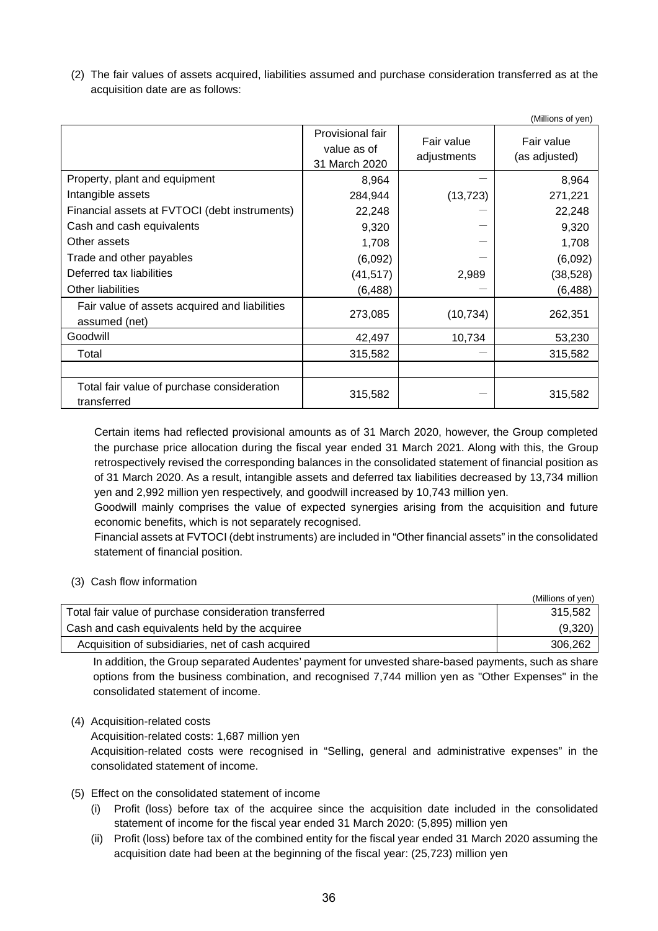(2) The fair values of assets acquired, liabilities assumed and purchase consideration transferred as at the acquisition date are as follows:

|                                                                |                                                  |                           | (Millions of yen)           |
|----------------------------------------------------------------|--------------------------------------------------|---------------------------|-----------------------------|
|                                                                | Provisional fair<br>value as of<br>31 March 2020 | Fair value<br>adjustments | Fair value<br>(as adjusted) |
| Property, plant and equipment                                  | 8,964                                            |                           | 8,964                       |
| Intangible assets                                              | 284,944                                          | (13, 723)                 | 271,221                     |
| Financial assets at FVTOCI (debt instruments)                  | 22,248                                           |                           | 22,248                      |
| Cash and cash equivalents                                      | 9,320                                            |                           | 9,320                       |
| Other assets                                                   | 1,708                                            |                           | 1,708                       |
| Trade and other payables                                       | (6,092)                                          |                           | (6,092)                     |
| Deferred tax liabilities                                       | (41, 517)                                        | 2,989                     | (38, 528)                   |
| Other liabilities                                              | (6, 488)                                         |                           | (6, 488)                    |
| Fair value of assets acquired and liabilities<br>assumed (net) | 273,085                                          | (10, 734)                 | 262,351                     |
| Goodwill                                                       | 42,497                                           | 10,734                    | 53,230                      |
| Total                                                          | 315,582                                          |                           | 315,582                     |
|                                                                |                                                  |                           |                             |
| Total fair value of purchase consideration<br>transferred      | 315,582                                          |                           | 315,582                     |

Certain items had reflected provisional amounts as of 31 March 2020, however, the Group completed the purchase price allocation during the fiscal year ended 31 March 2021. Along with this, the Group retrospectively revised the corresponding balances in the consolidated statement of financial position as of 31 March 2020. As a result, intangible assets and deferred tax liabilities decreased by 13,734 million yen and 2,992 million yen respectively, and goodwill increased by 10,743 million yen.

Goodwill mainly comprises the value of expected synergies arising from the acquisition and future economic benefits, which is not separately recognised.

Financial assets at FVTOCI (debt instruments) are included in "Other financial assets" in the consolidated statement of financial position.

#### (3) Cash flow information

|                                                        | (Millions of yen) |
|--------------------------------------------------------|-------------------|
| Total fair value of purchase consideration transferred | 315.582           |
| Cash and cash equivalents held by the acquiree         | (9,320)           |
| Acquisition of subsidiaries, net of cash acquired      | 306.262           |

In addition, the Group separated Audentes' payment for unvested share-based payments, such as share options from the business combination, and recognised 7,744 million yen as "Other Expenses" in the consolidated statement of income.

#### (4) Acquisition-related costs

Acquisition-related costs: 1,687 million yen

Acquisition-related costs were recognised in "Selling, general and administrative expenses" in the consolidated statement of income.

#### (5) Effect on the consolidated statement of income

- (i) Profit (loss) before tax of the acquiree since the acquisition date included in the consolidated statement of income for the fiscal year ended 31 March 2020: (5,895) million yen
- (ii) Profit (loss) before tax of the combined entity for the fiscal year ended 31 March 2020 assuming the acquisition date had been at the beginning of the fiscal year: (25,723) million yen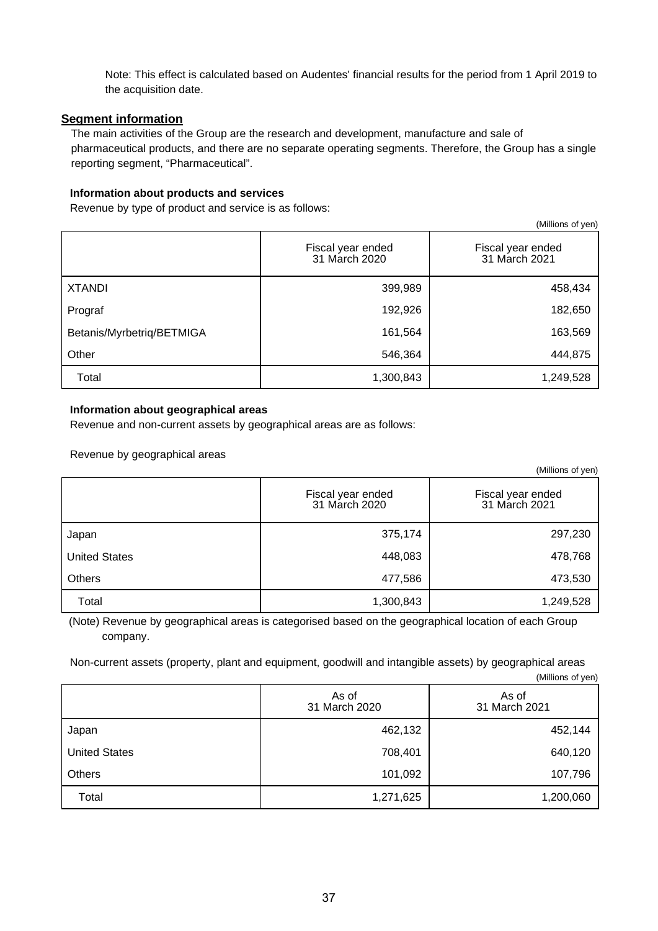Note: This effect is calculated based on Audentes' financial results for the period from 1 April 2019 to the acquisition date.

#### **Segment information**

The main activities of the Group are the research and development, manufacture and sale of pharmaceutical products, and there are no separate operating segments. Therefore, the Group has a single reporting segment, "Pharmaceutical".

#### **Information about products and services**

Revenue by type of product and service is as follows:

| (Millions of yen)         |                                    |                                    |
|---------------------------|------------------------------------|------------------------------------|
|                           | Fiscal year ended<br>31 March 2020 | Fiscal year ended<br>31 March 2021 |
| <b>XTANDI</b>             | 399,989                            | 458,434                            |
| Prograf                   | 192,926                            | 182,650                            |
| Betanis/Myrbetriq/BETMIGA | 161,564                            | 163,569                            |
| Other                     | 546,364                            | 444,875                            |
| Total                     | 1,300,843                          | 1,249,528                          |

#### **Information about geographical areas**

Revenue and non-current assets by geographical areas are as follows:

Revenue by geographical areas

|                      |                                    | (Millions of yen)                  |
|----------------------|------------------------------------|------------------------------------|
|                      | Fiscal year ended<br>31 March 2020 | Fiscal year ended<br>31 March 2021 |
| Japan                | 375,174                            | 297,230                            |
| <b>United States</b> | 448,083                            | 478,768                            |
| <b>Others</b>        | 477,586                            | 473,530                            |
| Total                | 1,300,843                          | 1,249,528                          |

(Note) Revenue by geographical areas is categorised based on the geographical location of each Group company.

Non-current assets (property, plant and equipment, goodwill and intangible assets) by geographical areas (Millions of yen)

|                      | As of<br>31 March 2020 | As of<br>31 March 2021 |
|----------------------|------------------------|------------------------|
| Japan                | 462,132                | 452,144                |
| <b>United States</b> | 708,401                | 640,120                |
| Others               | 101,092                | 107,796                |
| Total                | 1,271,625              | 1,200,060              |